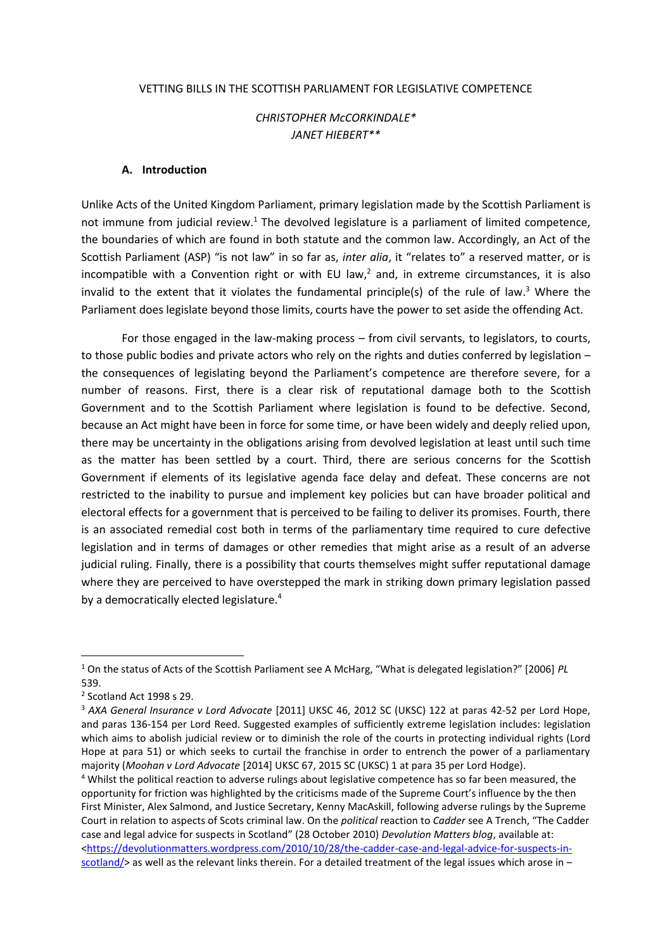#### VETTING BILLS IN THE SCOTTISH PARLIAMENT FOR LEGISLATIVE COMPETENCE

### *CHRISTOPHER McCORKINDALE\* JANET HIEBERT\*\**

#### **A. Introduction**

Unlike Acts of the United Kingdom Parliament, primary legislation made by the Scottish Parliament is not immune from judicial review.<sup>1</sup> The devolved legislature is a parliament of limited competence, the boundaries of which are found in both statute and the common law. Accordingly, an Act of the Scottish Parliament (ASP) "is not law" in so far as, *inter alia*, it "relates to" a reserved matter, or is incompatible with a Convention right or with EU law, $<sup>2</sup>$  and, in extreme circumstances, it is also</sup> invalid to the extent that it violates the fundamental principle(s) of the rule of law.<sup>3</sup> Where the Parliament does legislate beyond those limits, courts have the power to set aside the offending Act.

For those engaged in the law-making process – from civil servants, to legislators, to courts, to those public bodies and private actors who rely on the rights and duties conferred by legislation – the consequences of legislating beyond the Parliament's competence are therefore severe, for a number of reasons. First, there is a clear risk of reputational damage both to the Scottish Government and to the Scottish Parliament where legislation is found to be defective. Second, because an Act might have been in force for some time, or have been widely and deeply relied upon, there may be uncertainty in the obligations arising from devolved legislation at least until such time as the matter has been settled by a court. Third, there are serious concerns for the Scottish Government if elements of its legislative agenda face delay and defeat. These concerns are not restricted to the inability to pursue and implement key policies but can have broader political and electoral effects for a government that is perceived to be failing to deliver its promises. Fourth, there is an associated remedial cost both in terms of the parliamentary time required to cure defective legislation and in terms of damages or other remedies that might arise as a result of an adverse judicial ruling. Finally, there is a possibility that courts themselves might suffer reputational damage where they are perceived to have overstepped the mark in striking down primary legislation passed by a democratically elected legislature.<sup>4</sup>

<sup>1</sup> On the status of Acts of the Scottish Parliament see A McHarg, "What is delegated legislation?" [2006] *PL* 539.

<sup>2</sup> Scotland Act 1998 s 29.

<sup>&</sup>lt;sup>3</sup> AXA General Insurance v Lord Advocate [2011] UKSC 46, 2012 SC (UKSC) 122 at paras 42-52 per Lord Hope, and paras 136-154 per Lord Reed. Suggested examples of sufficiently extreme legislation includes: legislation which aims to abolish judicial review or to diminish the role of the courts in protecting individual rights (Lord Hope at para 51) or which seeks to curtail the franchise in order to entrench the power of a parliamentary majority (*Moohan v Lord Advocate* [2014] UKSC 67, 2015 SC (UKSC) 1 at para 35 per Lord Hodge).

<sup>&</sup>lt;sup>4</sup> Whilst the political reaction to adverse rulings about legislative competence has so far been measured, the opportunity for friction was highlighted by the criticisms made of the Supreme Court's influence by the then First Minister, Alex Salmond, and Justice Secretary, Kenny MacAskill, following adverse rulings by the Supreme Court in relation to aspects of Scots criminal law. On the *political* reaction to *Cadder* see A Trench, "The Cadder case and legal advice for suspects in Scotland" (28 October 2010) *Devolution Matters blog*, available at: [<https://devolutionmatters.wordpress.com/2010/10/28/the-cadder-case-and-legal-advice-for-suspects-in](https://devolutionmatters.wordpress.com/2010/10/28/the-cadder-case-and-legal-advice-for-suspects-in-scotland/)[scotland/>](https://devolutionmatters.wordpress.com/2010/10/28/the-cadder-case-and-legal-advice-for-suspects-in-scotland/) as well as the relevant links therein. For a detailed treatment of the legal issues which arose in –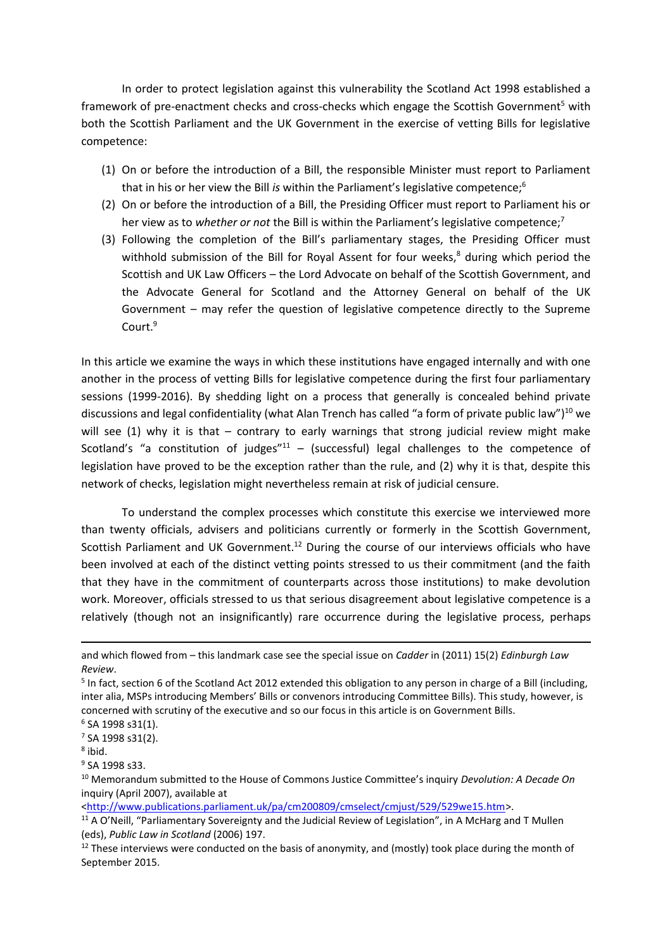In order to protect legislation against this vulnerability the Scotland Act 1998 established a framework of pre-enactment checks and cross-checks which engage the Scottish Government<sup>5</sup> with both the Scottish Parliament and the UK Government in the exercise of vetting Bills for legislative competence:

- (1) On or before the introduction of a Bill, the responsible Minister must report to Parliament that in his or her view the Bill *is* within the Parliament's legislative competence;<sup>6</sup>
- (2) On or before the introduction of a Bill, the Presiding Officer must report to Parliament his or her view as to *whether or not* the Bill is within the Parliament's legislative competence;<sup>7</sup>
- (3) Following the completion of the Bill's parliamentary stages, the Presiding Officer must withhold submission of the Bill for Royal Assent for four weeks, $<sup>8</sup>$  during which period the</sup> Scottish and UK Law Officers – the Lord Advocate on behalf of the Scottish Government, and the Advocate General for Scotland and the Attorney General on behalf of the UK Government – may refer the question of legislative competence directly to the Supreme Court.<sup>9</sup>

In this article we examine the ways in which these institutions have engaged internally and with one another in the process of vetting Bills for legislative competence during the first four parliamentary sessions (1999-2016). By shedding light on a process that generally is concealed behind private discussions and legal confidentiality (what Alan Trench has called "a form of private public law")<sup>10</sup> we will see  $(1)$  why it is that – contrary to early warnings that strong judicial review might make Scotland's "a constitution of judges" $11 -$  (successful) legal challenges to the competence of legislation have proved to be the exception rather than the rule, and (2) why it is that, despite this network of checks, legislation might nevertheless remain at risk of judicial censure.

To understand the complex processes which constitute this exercise we interviewed more than twenty officials, advisers and politicians currently or formerly in the Scottish Government, Scottish Parliament and UK Government.<sup>12</sup> During the course of our interviews officials who have been involved at each of the distinct vetting points stressed to us their commitment (and the faith that they have in the commitment of counterparts across those institutions) to make devolution work. Moreover, officials stressed to us that serious disagreement about legislative competence is a relatively (though not an insignificantly) rare occurrence during the legislative process, perhaps

1

[<http://www.publications.parliament.uk/pa/cm200809/cmselect/cmjust/529/529we15.htm>](http://www.publications.parliament.uk/pa/cm200809/cmselect/cmjust/529/529we15.htm).

and which flowed from – this landmark case see the special issue on *Cadder* in (2011) 15(2) *Edinburgh Law Review*.

<sup>&</sup>lt;sup>5</sup> In fact, section 6 of the Scotland Act 2012 extended this obligation to any person in charge of a Bill (including, inter alia, MSPs introducing Members' Bills or convenors introducing Committee Bills). This study, however, is concerned with scrutiny of the executive and so our focus in this article is on Government Bills.

<sup>6</sup> SA 1998 s31(1).

<sup>7</sup> SA 1998 s31(2).

<sup>8</sup> ibid.

<sup>&</sup>lt;sup>9</sup> SA 1998 s33.

<sup>10</sup> Memorandum submitted to the House of Commons Justice Committee's inquiry *Devolution: A Decade On* inquiry (April 2007), available at

<sup>&</sup>lt;sup>11</sup> A O'Neill, "Parliamentary Sovereignty and the Judicial Review of Legislation", in A McHarg and T Mullen (eds), *Public Law in Scotland* (2006) 197.

 $12$  These interviews were conducted on the basis of anonymity, and (mostly) took place during the month of September 2015.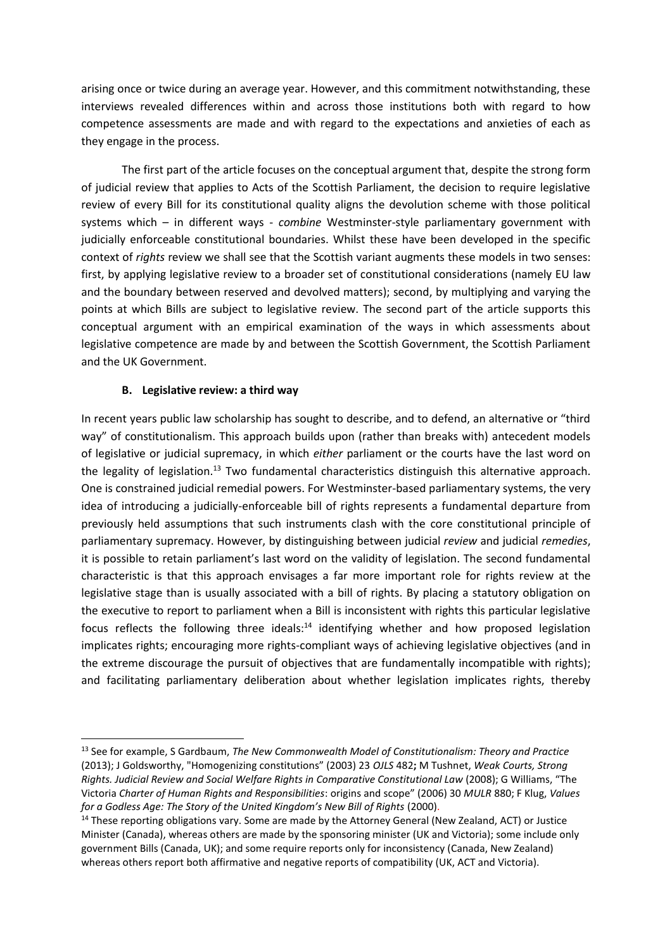arising once or twice during an average year. However, and this commitment notwithstanding, these interviews revealed differences within and across those institutions both with regard to how competence assessments are made and with regard to the expectations and anxieties of each as they engage in the process.

The first part of the article focuses on the conceptual argument that, despite the strong form of judicial review that applies to Acts of the Scottish Parliament, the decision to require legislative review of every Bill for its constitutional quality aligns the devolution scheme with those political systems which – in different ways - *combine* Westminster-style parliamentary government with judicially enforceable constitutional boundaries. Whilst these have been developed in the specific context of *rights* review we shall see that the Scottish variant augments these models in two senses: first, by applying legislative review to a broader set of constitutional considerations (namely EU law and the boundary between reserved and devolved matters); second, by multiplying and varying the points at which Bills are subject to legislative review. The second part of the article supports this conceptual argument with an empirical examination of the ways in which assessments about legislative competence are made by and between the Scottish Government, the Scottish Parliament and the UK Government.

## **B. Legislative review: a third way**

1

In recent years public law scholarship has sought to describe, and to defend, an alternative or "third way" of constitutionalism. This approach builds upon (rather than breaks with) antecedent models of legislative or judicial supremacy, in which *either* parliament or the courts have the last word on the legality of legislation.<sup>13</sup> Two fundamental characteristics distinguish this alternative approach. One is constrained judicial remedial powers. For Westminster-based parliamentary systems, the very idea of introducing a judicially-enforceable bill of rights represents a fundamental departure from previously held assumptions that such instruments clash with the core constitutional principle of parliamentary supremacy. However, by distinguishing between judicial *review* and judicial *remedies*, it is possible to retain parliament's last word on the validity of legislation. The second fundamental characteristic is that this approach envisages a far more important role for rights review at the legislative stage than is usually associated with a bill of rights. By placing a statutory obligation on the executive to report to parliament when a Bill is inconsistent with rights this particular legislative focus reflects the following three ideals: $14$  identifying whether and how proposed legislation implicates rights; encouraging more rights-compliant ways of achieving legislative objectives (and in the extreme discourage the pursuit of objectives that are fundamentally incompatible with rights); and facilitating parliamentary deliberation about whether legislation implicates rights, thereby

<sup>13</sup> See for example, S Gardbaum, *The New Commonwealth Model of Constitutionalism: Theory and Practice* (2013); J Goldsworthy, "Homogenizing constitutions" (2003) 23 *OJLS* 482**;** M Tushnet, *Weak Courts, Strong Rights. Judicial Review and Social Welfare Rights in Comparative Constitutional Law* (2008); G Williams, "The Victoria *Charter of Human Rights and Responsibilities*: origins and scope" (2006) 30 *MULR* 880; F Klug, *Values for a Godless Age: The Story of the United Kingdom's New Bill of Rights* (2000).

<sup>&</sup>lt;sup>14</sup> These reporting obligations vary. Some are made by the Attorney General (New Zealand, ACT) or Justice Minister (Canada), whereas others are made by the sponsoring minister (UK and Victoria); some include only government Bills (Canada, UK); and some require reports only for inconsistency (Canada, New Zealand) whereas others report both affirmative and negative reports of compatibility (UK, ACT and Victoria).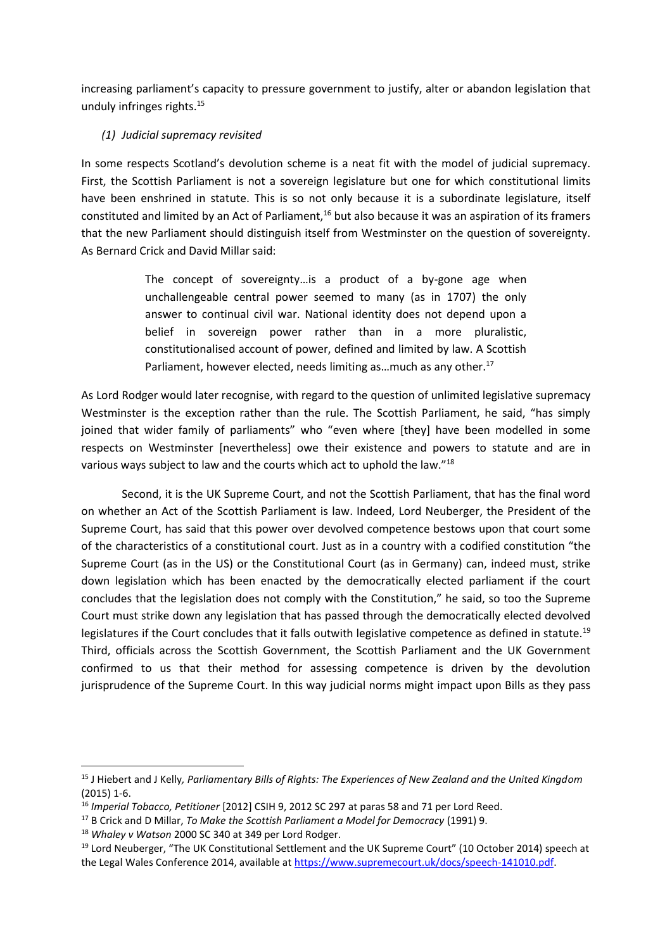increasing parliament's capacity to pressure government to justify, alter or abandon legislation that unduly infringes rights.<sup>15</sup>

# *(1) Judicial supremacy revisited*

In some respects Scotland's devolution scheme is a neat fit with the model of judicial supremacy. First, the Scottish Parliament is not a sovereign legislature but one for which constitutional limits have been enshrined in statute. This is so not only because it is a subordinate legislature, itself constituted and limited by an Act of Parliament,<sup>16</sup> but also because it was an aspiration of its framers that the new Parliament should distinguish itself from Westminster on the question of sovereignty. As Bernard Crick and David Millar said:

> The concept of sovereignty…is a product of a by-gone age when unchallengeable central power seemed to many (as in 1707) the only answer to continual civil war. National identity does not depend upon a belief in sovereign power rather than in a more pluralistic, constitutionalised account of power, defined and limited by law. A Scottish Parliament, however elected, needs limiting as ... much as any other.<sup>17</sup>

As Lord Rodger would later recognise, with regard to the question of unlimited legislative supremacy Westminster is the exception rather than the rule. The Scottish Parliament, he said, "has simply joined that wider family of parliaments" who "even where [they] have been modelled in some respects on Westminster [nevertheless] owe their existence and powers to statute and are in various ways subject to law and the courts which act to uphold the law."<sup>18</sup>

Second, it is the UK Supreme Court, and not the Scottish Parliament, that has the final word on whether an Act of the Scottish Parliament is law. Indeed, Lord Neuberger, the President of the Supreme Court, has said that this power over devolved competence bestows upon that court some of the characteristics of a constitutional court. Just as in a country with a codified constitution "the Supreme Court (as in the US) or the Constitutional Court (as in Germany) can, indeed must, strike down legislation which has been enacted by the democratically elected parliament if the court concludes that the legislation does not comply with the Constitution," he said, so too the Supreme Court must strike down any legislation that has passed through the democratically elected devolved legislatures if the Court concludes that it falls outwith legislative competence as defined in statute.<sup>19</sup> Third, officials across the Scottish Government, the Scottish Parliament and the UK Government confirmed to us that their method for assessing competence is driven by the devolution jurisprudence of the Supreme Court. In this way judicial norms might impact upon Bills as they pass

 $\overline{a}$ 

<sup>15</sup> J Hiebert and J Kelly*, Parliamentary Bills of Rights: The Experiences of New Zealand and the United Kingdom*  (2015) 1-6.

<sup>16</sup> *Imperial Tobacco, Petitioner* [2012] CSIH 9, 2012 SC 297 at paras 58 and 71 per Lord Reed.

<sup>17</sup> B Crick and D Millar, *To Make the Scottish Parliament a Model for Democracy* (1991) 9.

<sup>18</sup> *Whaley v Watson* 2000 SC 340 at 349 per Lord Rodger.

<sup>&</sup>lt;sup>19</sup> Lord Neuberger, "The UK Constitutional Settlement and the UK Supreme Court" (10 October 2014) speech at the Legal Wales Conference 2014, available at [https://www.supremecourt.uk/docs/speech-141010.pdf.](https://www.supremecourt.uk/docs/speech-141010.pdf)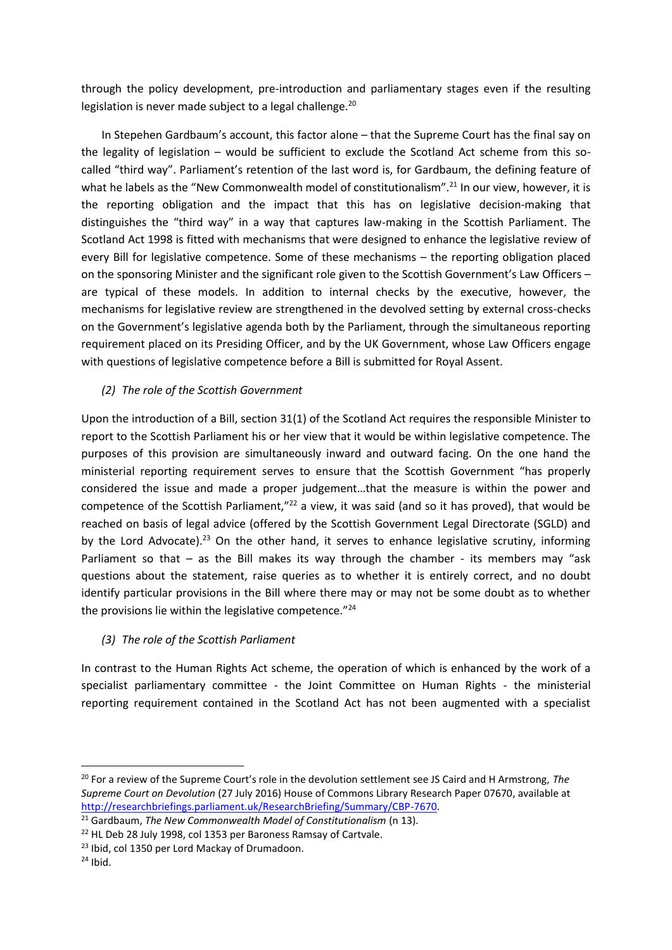through the policy development, pre-introduction and parliamentary stages even if the resulting legislation is never made subject to a legal challenge.<sup>20</sup>

In Stepehen Gardbaum's account, this factor alone – that the Supreme Court has the final say on the legality of legislation – would be sufficient to exclude the Scotland Act scheme from this socalled "third way". Parliament's retention of the last word is, for Gardbaum, the defining feature of what he labels as the "New Commonwealth model of constitutionalism".<sup>21</sup> In our view, however, it is the reporting obligation and the impact that this has on legislative decision-making that distinguishes the "third way" in a way that captures law-making in the Scottish Parliament. The Scotland Act 1998 is fitted with mechanisms that were designed to enhance the legislative review of every Bill for legislative competence. Some of these mechanisms – the reporting obligation placed on the sponsoring Minister and the significant role given to the Scottish Government's Law Officers – are typical of these models. In addition to internal checks by the executive, however, the mechanisms for legislative review are strengthened in the devolved setting by external cross-checks on the Government's legislative agenda both by the Parliament, through the simultaneous reporting requirement placed on its Presiding Officer, and by the UK Government, whose Law Officers engage with questions of legislative competence before a Bill is submitted for Royal Assent.

# *(2) The role of the Scottish Government*

Upon the introduction of a Bill, section 31(1) of the Scotland Act requires the responsible Minister to report to the Scottish Parliament his or her view that it would be within legislative competence. The purposes of this provision are simultaneously inward and outward facing. On the one hand the ministerial reporting requirement serves to ensure that the Scottish Government "has properly considered the issue and made a proper judgement…that the measure is within the power and competence of the Scottish Parliament,"<sup>22</sup> a view, it was said (and so it has proved), that would be reached on basis of legal advice (offered by the Scottish Government Legal Directorate (SGLD) and by the Lord Advocate).<sup>23</sup> On the other hand, it serves to enhance legislative scrutiny, informing Parliament so that  $-$  as the Bill makes its way through the chamber - its members may "ask questions about the statement, raise queries as to whether it is entirely correct, and no doubt identify particular provisions in the Bill where there may or may not be some doubt as to whether the provisions lie within the legislative competence."<sup>24</sup>

# *(3) The role of the Scottish Parliament*

In contrast to the Human Rights Act scheme, the operation of which is enhanced by the work of a specialist parliamentary committee - the Joint Committee on Human Rights - the ministerial reporting requirement contained in the Scotland Act has not been augmented with a specialist

 $\overline{a}$ 

<sup>20</sup> For a review of the Supreme Court's role in the devolution settlement see JS Caird and H Armstrong, *The Supreme Court on Devolution* (27 July 2016) House of Commons Library Research Paper 07670, available at [http://researchbriefings.parliament.uk/ResearchBriefing/Summary/CBP-7670.](http://researchbriefings.parliament.uk/ResearchBriefing/Summary/CBP-7670)

<sup>&</sup>lt;sup>21</sup> Gardbaum, *The New Commonwealth Model of Constitutionalism* (n 13).

<sup>&</sup>lt;sup>22</sup> HL Deb 28 July 1998, col 1353 per Baroness Ramsay of Cartvale.

<sup>&</sup>lt;sup>23</sup> Ibid, col 1350 per Lord Mackay of Drumadoon.

 $24$  Ibid.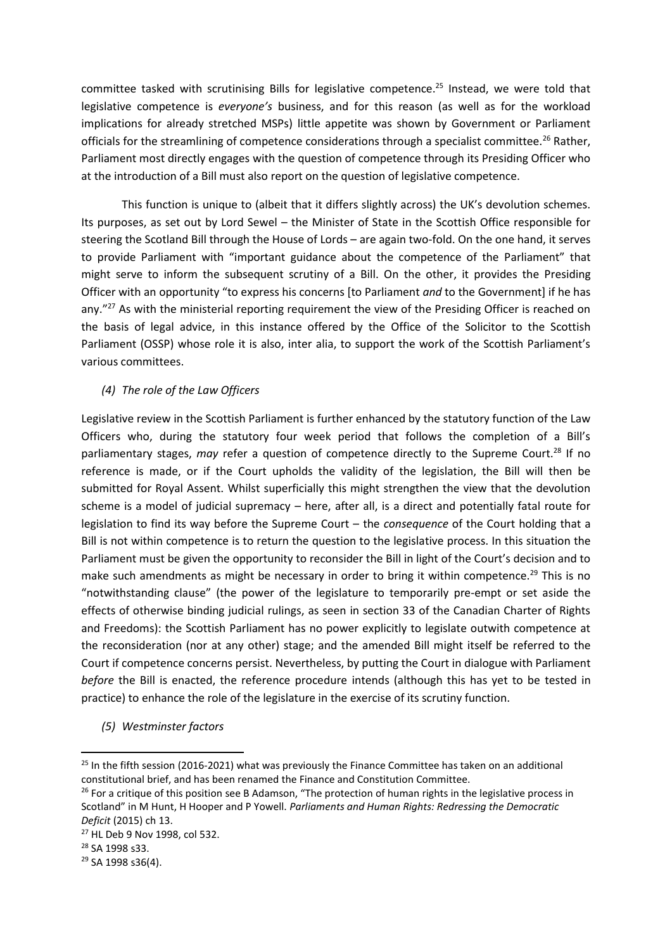committee tasked with scrutinising Bills for legislative competence.<sup>25</sup> Instead, we were told that legislative competence is *everyone's* business, and for this reason (as well as for the workload implications for already stretched MSPs) little appetite was shown by Government or Parliament officials for the streamlining of competence considerations through a specialist committee.<sup>26</sup> Rather, Parliament most directly engages with the question of competence through its Presiding Officer who at the introduction of a Bill must also report on the question of legislative competence.

This function is unique to (albeit that it differs slightly across) the UK's devolution schemes. Its purposes, as set out by Lord Sewel – the Minister of State in the Scottish Office responsible for steering the Scotland Bill through the House of Lords – are again two-fold. On the one hand, it serves to provide Parliament with "important guidance about the competence of the Parliament" that might serve to inform the subsequent scrutiny of a Bill. On the other, it provides the Presiding Officer with an opportunity "to express his concerns [to Parliament *and* to the Government] if he has any."<sup>27</sup> As with the ministerial reporting requirement the view of the Presiding Officer is reached on the basis of legal advice, in this instance offered by the Office of the Solicitor to the Scottish Parliament (OSSP) whose role it is also, inter alia, to support the work of the Scottish Parliament's various committees.

## *(4) The role of the Law Officers*

Legislative review in the Scottish Parliament is further enhanced by the statutory function of the Law Officers who, during the statutory four week period that follows the completion of a Bill's parliamentary stages, *may* refer a question of competence directly to the Supreme Court.<sup>28</sup> If no reference is made, or if the Court upholds the validity of the legislation, the Bill will then be submitted for Royal Assent. Whilst superficially this might strengthen the view that the devolution scheme is a model of judicial supremacy – here, after all, is a direct and potentially fatal route for legislation to find its way before the Supreme Court – the *consequence* of the Court holding that a Bill is not within competence is to return the question to the legislative process. In this situation the Parliament must be given the opportunity to reconsider the Bill in light of the Court's decision and to make such amendments as might be necessary in order to bring it within competence.<sup>29</sup> This is no "notwithstanding clause" (the power of the legislature to temporarily pre-empt or set aside the effects of otherwise binding judicial rulings, as seen in section 33 of the Canadian Charter of Rights and Freedoms): the Scottish Parliament has no power explicitly to legislate outwith competence at the reconsideration (nor at any other) stage; and the amended Bill might itself be referred to the Court if competence concerns persist. Nevertheless, by putting the Court in dialogue with Parliament *before* the Bill is enacted, the reference procedure intends (although this has yet to be tested in practice) to enhance the role of the legislature in the exercise of its scrutiny function.

*(5) Westminster factors*

<sup>&</sup>lt;sup>25</sup> In the fifth session (2016-2021) what was previously the Finance Committee has taken on an additional constitutional brief, and has been renamed the Finance and Constitution Committee.

<sup>&</sup>lt;sup>26</sup> For a critique of this position see B Adamson, "The protection of human rights in the legislative process in Scotland" in M Hunt, H Hooper and P Yowell. *Parliaments and Human Rights: Redressing the Democratic Deficit* (2015) ch 13.

<sup>27</sup> HL Deb 9 Nov 1998, col 532.

<sup>28</sup> SA 1998 s33.

<sup>29</sup> SA 1998 s36(4).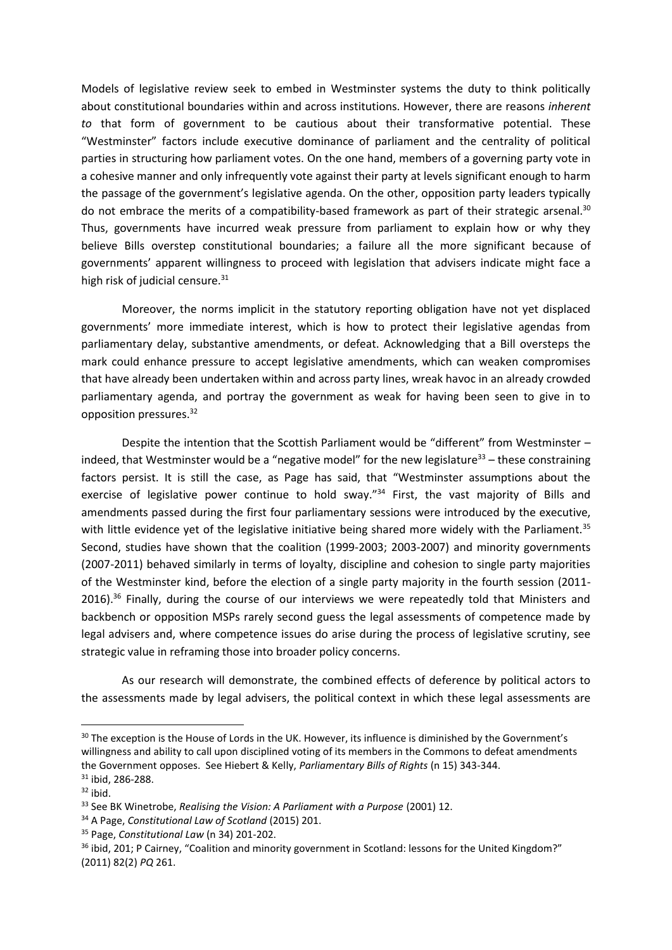Models of legislative review seek to embed in Westminster systems the duty to think politically about constitutional boundaries within and across institutions. However, there are reasons *inherent to* that form of government to be cautious about their transformative potential. These "Westminster" factors include executive dominance of parliament and the centrality of political parties in structuring how parliament votes. On the one hand, members of a governing party vote in a cohesive manner and only infrequently vote against their party at levels significant enough to harm the passage of the government's legislative agenda. On the other, opposition party leaders typically do not embrace the merits of a compatibility-based framework as part of their strategic arsenal.<sup>30</sup> Thus, governments have incurred weak pressure from parliament to explain how or why they believe Bills overstep constitutional boundaries; a failure all the more significant because of governments' apparent willingness to proceed with legislation that advisers indicate might face a high risk of judicial censure.<sup>31</sup>

Moreover, the norms implicit in the statutory reporting obligation have not yet displaced governments' more immediate interest, which is how to protect their legislative agendas from parliamentary delay, substantive amendments, or defeat. Acknowledging that a Bill oversteps the mark could enhance pressure to accept legislative amendments, which can weaken compromises that have already been undertaken within and across party lines, wreak havoc in an already crowded parliamentary agenda, and portray the government as weak for having been seen to give in to opposition pressures.<sup>32</sup>

Despite the intention that the Scottish Parliament would be "different" from Westminster indeed, that Westminster would be a "negative model" for the new legislature<sup>33</sup> – these constraining factors persist. It is still the case, as Page has said, that "Westminster assumptions about the exercise of legislative power continue to hold sway."<sup>34</sup> First, the vast majority of Bills and amendments passed during the first four parliamentary sessions were introduced by the executive, with little evidence yet of the legislative initiative being shared more widely with the Parliament.<sup>35</sup> Second, studies have shown that the coalition (1999-2003; 2003-2007) and minority governments (2007-2011) behaved similarly in terms of loyalty, discipline and cohesion to single party majorities of the Westminster kind, before the election of a single party majority in the fourth session (2011-  $2016$ .<sup>36</sup> Finally, during the course of our interviews we were repeatedly told that Ministers and backbench or opposition MSPs rarely second guess the legal assessments of competence made by legal advisers and, where competence issues do arise during the process of legislative scrutiny, see strategic value in reframing those into broader policy concerns.

As our research will demonstrate, the combined effects of deference by political actors to the assessments made by legal advisers, the political context in which these legal assessments are

<sup>&</sup>lt;sup>30</sup> The exception is the House of Lords in the UK. However, its influence is diminished by the Government's willingness and ability to call upon disciplined voting of its members in the Commons to defeat amendments the Government opposes. See Hiebert & Kelly, *Parliamentary Bills of Rights* (n 15) 343-344.

<sup>&</sup>lt;sup>31</sup> ibid. 286-288.

 $32$  ibid.

<sup>33</sup> See BK Winetrobe, *Realising the Vision: A Parliament with a Purpose* (2001) 12.

<sup>34</sup> A Page, *Constitutional Law of Scotland* (2015) 201.

<sup>35</sup> Page, *Constitutional Law* (n 34) 201-202.

<sup>&</sup>lt;sup>36</sup> ibid, 201; P Cairney, "Coalition and minority government in Scotland: lessons for the United Kingdom?" (2011) 82(2) *PQ* 261.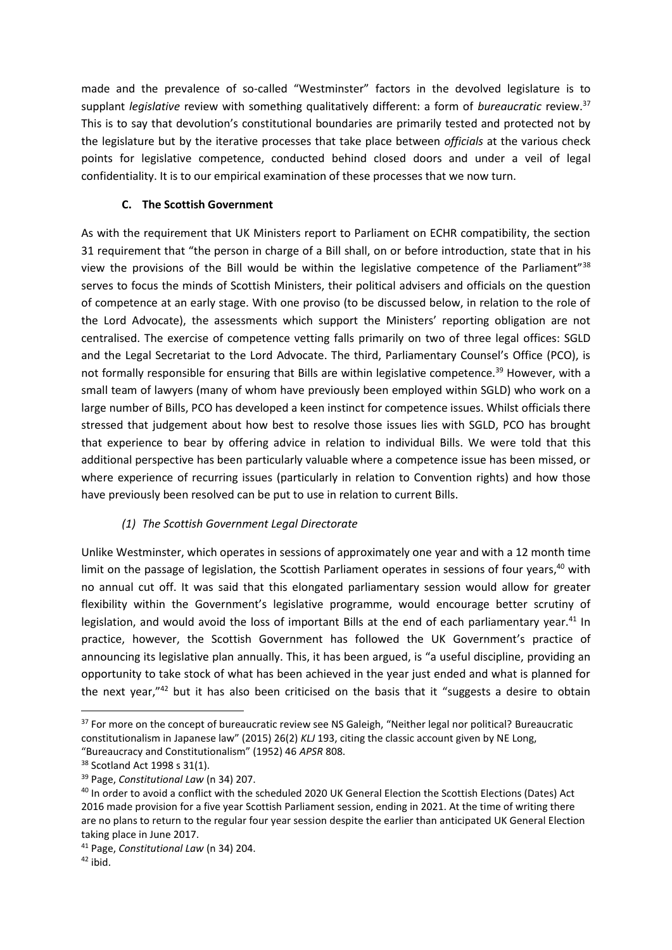made and the prevalence of so-called "Westminster" factors in the devolved legislature is to supplant *legislative* review with something qualitatively different: a form of *bureaucratic* review.<sup>37</sup> This is to say that devolution's constitutional boundaries are primarily tested and protected not by the legislature but by the iterative processes that take place between *officials* at the various check points for legislative competence, conducted behind closed doors and under a veil of legal confidentiality. It is to our empirical examination of these processes that we now turn.

# **C. The Scottish Government**

As with the requirement that UK Ministers report to Parliament on ECHR compatibility, the section 31 requirement that "the person in charge of a Bill shall, on or before introduction, state that in his view the provisions of the Bill would be within the legislative competence of the Parliament"<sup>38</sup> serves to focus the minds of Scottish Ministers, their political advisers and officials on the question of competence at an early stage. With one proviso (to be discussed below, in relation to the role of the Lord Advocate), the assessments which support the Ministers' reporting obligation are not centralised. The exercise of competence vetting falls primarily on two of three legal offices: SGLD and the Legal Secretariat to the Lord Advocate. The third, Parliamentary Counsel's Office (PCO), is not formally responsible for ensuring that Bills are within legislative competence.<sup>39</sup> However, with a small team of lawyers (many of whom have previously been employed within SGLD) who work on a large number of Bills, PCO has developed a keen instinct for competence issues. Whilst officials there stressed that judgement about how best to resolve those issues lies with SGLD, PCO has brought that experience to bear by offering advice in relation to individual Bills. We were told that this additional perspective has been particularly valuable where a competence issue has been missed, or where experience of recurring issues (particularly in relation to Convention rights) and how those have previously been resolved can be put to use in relation to current Bills.

# *(1) The Scottish Government Legal Directorate*

Unlike Westminster, which operates in sessions of approximately one year and with a 12 month time limit on the passage of legislation, the Scottish Parliament operates in sessions of four years,<sup>40</sup> with no annual cut off. It was said that this elongated parliamentary session would allow for greater flexibility within the Government's legislative programme, would encourage better scrutiny of legislation, and would avoid the loss of important Bills at the end of each parliamentary year.<sup>41</sup> In practice, however, the Scottish Government has followed the UK Government's practice of announcing its legislative plan annually. This, it has been argued, is "a useful discipline, providing an opportunity to take stock of what has been achieved in the year just ended and what is planned for the next year,"<sup>42</sup> but it has also been criticised on the basis that it "suggests a desire to obtain

1

<sup>&</sup>lt;sup>37</sup> For more on the concept of bureaucratic review see NS Galeigh, "Neither legal nor political? Bureaucratic constitutionalism in Japanese law" (2015) 26(2) *KLJ* 193, citing the classic account given by NE Long, "Bureaucracy and Constitutionalism" (1952) 46 *APSR* 808.

<sup>38</sup> Scotland Act 1998 s 31(1).

<sup>39</sup> Page, *Constitutional Law* (n 34) 207.

<sup>40</sup> In order to avoid a conflict with the scheduled 2020 UK General Election the Scottish Elections (Dates) Act 2016 made provision for a five year Scottish Parliament session, ending in 2021. At the time of writing there are no plans to return to the regular four year session despite the earlier than anticipated UK General Election taking place in June 2017.

<sup>41</sup> Page, *Constitutional Law* (n 34) 204.

 $42$  ibid.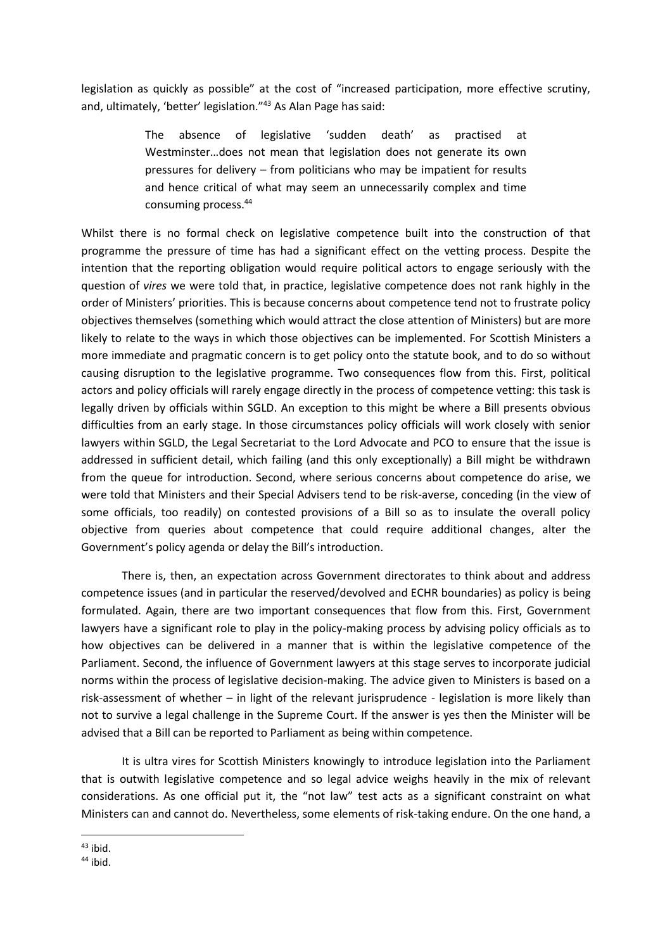legislation as quickly as possible" at the cost of "increased participation, more effective scrutiny, and, ultimately, 'better' legislation."<sup>43</sup> As Alan Page has said:

> The absence of legislative 'sudden death' as practised at Westminster…does not mean that legislation does not generate its own pressures for delivery – from politicians who may be impatient for results and hence critical of what may seem an unnecessarily complex and time consuming process.<sup>44</sup>

Whilst there is no formal check on legislative competence built into the construction of that programme the pressure of time has had a significant effect on the vetting process. Despite the intention that the reporting obligation would require political actors to engage seriously with the question of *vires* we were told that, in practice, legislative competence does not rank highly in the order of Ministers' priorities. This is because concerns about competence tend not to frustrate policy objectives themselves (something which would attract the close attention of Ministers) but are more likely to relate to the ways in which those objectives can be implemented. For Scottish Ministers a more immediate and pragmatic concern is to get policy onto the statute book, and to do so without causing disruption to the legislative programme. Two consequences flow from this. First, political actors and policy officials will rarely engage directly in the process of competence vetting: this task is legally driven by officials within SGLD. An exception to this might be where a Bill presents obvious difficulties from an early stage. In those circumstances policy officials will work closely with senior lawyers within SGLD, the Legal Secretariat to the Lord Advocate and PCO to ensure that the issue is addressed in sufficient detail, which failing (and this only exceptionally) a Bill might be withdrawn from the queue for introduction. Second, where serious concerns about competence do arise, we were told that Ministers and their Special Advisers tend to be risk-averse, conceding (in the view of some officials, too readily) on contested provisions of a Bill so as to insulate the overall policy objective from queries about competence that could require additional changes, alter the Government's policy agenda or delay the Bill's introduction.

There is, then, an expectation across Government directorates to think about and address competence issues (and in particular the reserved/devolved and ECHR boundaries) as policy is being formulated. Again, there are two important consequences that flow from this. First, Government lawyers have a significant role to play in the policy-making process by advising policy officials as to how objectives can be delivered in a manner that is within the legislative competence of the Parliament. Second, the influence of Government lawyers at this stage serves to incorporate judicial norms within the process of legislative decision-making. The advice given to Ministers is based on a risk-assessment of whether – in light of the relevant jurisprudence - legislation is more likely than not to survive a legal challenge in the Supreme Court. If the answer is yes then the Minister will be advised that a Bill can be reported to Parliament as being within competence.

It is ultra vires for Scottish Ministers knowingly to introduce legislation into the Parliament that is outwith legislative competence and so legal advice weighs heavily in the mix of relevant considerations. As one official put it, the "not law" test acts as a significant constraint on what Ministers can and cannot do. Nevertheless, some elements of risk-taking endure. On the one hand, a

<sup>1</sup>  $43$  ibid.

<sup>44</sup> ibid.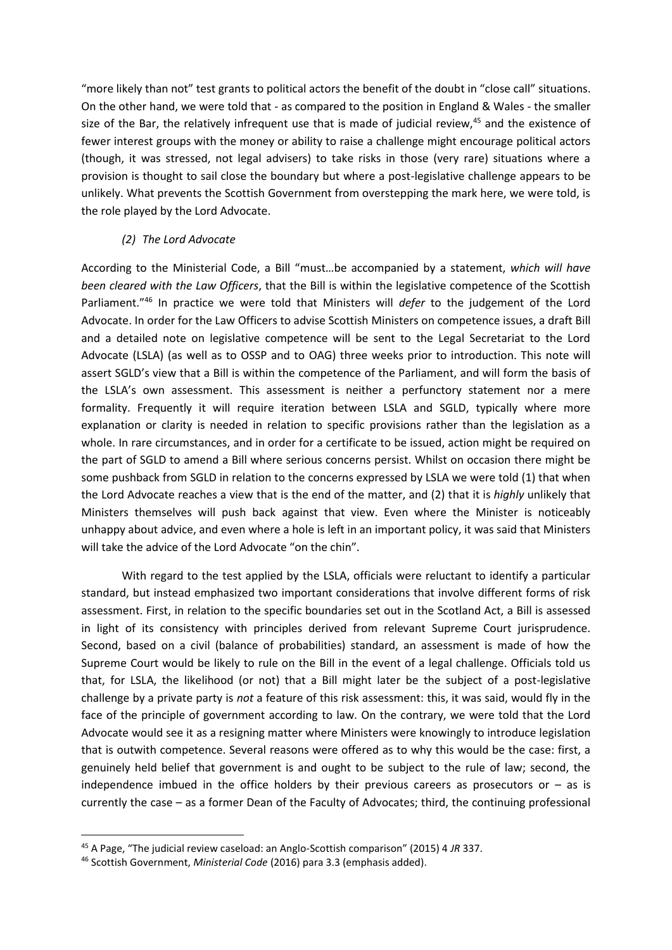"more likely than not" test grants to political actors the benefit of the doubt in "close call" situations. On the other hand, we were told that - as compared to the position in England & Wales - the smaller size of the Bar, the relatively infrequent use that is made of judicial review,<sup>45</sup> and the existence of fewer interest groups with the money or ability to raise a challenge might encourage political actors (though, it was stressed, not legal advisers) to take risks in those (very rare) situations where a provision is thought to sail close the boundary but where a post-legislative challenge appears to be unlikely. What prevents the Scottish Government from overstepping the mark here, we were told, is the role played by the Lord Advocate.

### *(2) The Lord Advocate*

According to the Ministerial Code, a Bill "must…be accompanied by a statement, *which will have been cleared with the Law Officers*, that the Bill is within the legislative competence of the Scottish Parliament."<sup>46</sup> In practice we were told that Ministers will *defer* to the judgement of the Lord Advocate. In order for the Law Officers to advise Scottish Ministers on competence issues, a draft Bill and a detailed note on legislative competence will be sent to the Legal Secretariat to the Lord Advocate (LSLA) (as well as to OSSP and to OAG) three weeks prior to introduction. This note will assert SGLD's view that a Bill is within the competence of the Parliament, and will form the basis of the LSLA's own assessment. This assessment is neither a perfunctory statement nor a mere formality. Frequently it will require iteration between LSLA and SGLD, typically where more explanation or clarity is needed in relation to specific provisions rather than the legislation as a whole. In rare circumstances, and in order for a certificate to be issued, action might be required on the part of SGLD to amend a Bill where serious concerns persist. Whilst on occasion there might be some pushback from SGLD in relation to the concerns expressed by LSLA we were told (1) that when the Lord Advocate reaches a view that is the end of the matter, and (2) that it is *highly* unlikely that Ministers themselves will push back against that view. Even where the Minister is noticeably unhappy about advice, and even where a hole is left in an important policy, it was said that Ministers will take the advice of the Lord Advocate "on the chin".

With regard to the test applied by the LSLA, officials were reluctant to identify a particular standard, but instead emphasized two important considerations that involve different forms of risk assessment. First, in relation to the specific boundaries set out in the Scotland Act, a Bill is assessed in light of its consistency with principles derived from relevant Supreme Court jurisprudence. Second, based on a civil (balance of probabilities) standard, an assessment is made of how the Supreme Court would be likely to rule on the Bill in the event of a legal challenge. Officials told us that, for LSLA, the likelihood (or not) that a Bill might later be the subject of a post-legislative challenge by a private party is *not* a feature of this risk assessment: this, it was said, would fly in the face of the principle of government according to law. On the contrary, we were told that the Lord Advocate would see it as a resigning matter where Ministers were knowingly to introduce legislation that is outwith competence. Several reasons were offered as to why this would be the case: first, a genuinely held belief that government is and ought to be subject to the rule of law; second, the independence imbued in the office holders by their previous careers as prosecutors or  $-$  as is currently the case – as a former Dean of the Faculty of Advocates; third, the continuing professional

1

<sup>45</sup> A Page, "The judicial review caseload: an Anglo-Scottish comparison" (2015) 4 *JR* 337.

<sup>46</sup> Scottish Government, *Ministerial Code* (2016) para 3.3 (emphasis added).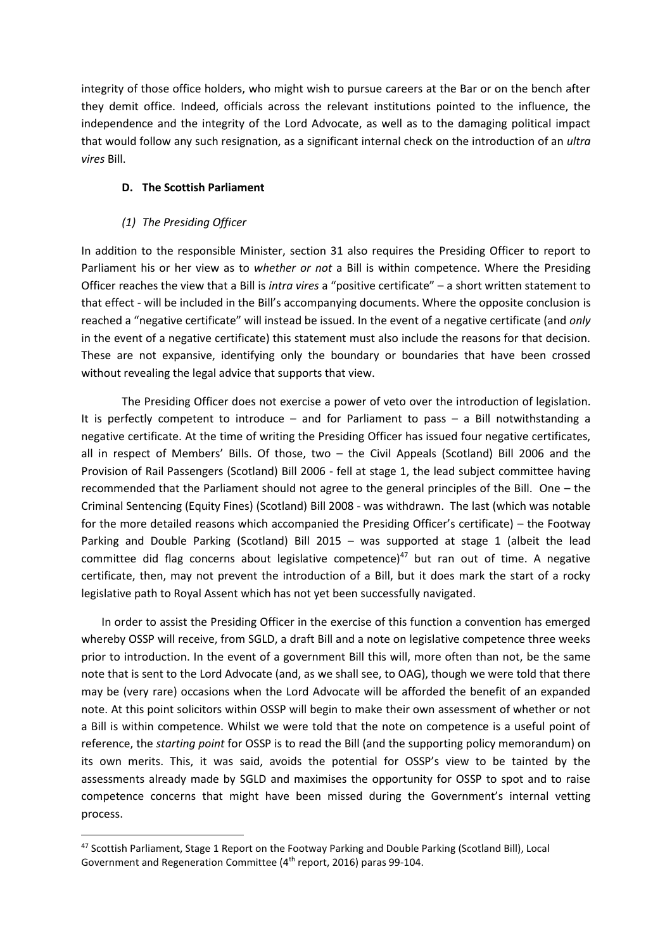integrity of those office holders, who might wish to pursue careers at the Bar or on the bench after they demit office. Indeed, officials across the relevant institutions pointed to the influence, the independence and the integrity of the Lord Advocate, as well as to the damaging political impact that would follow any such resignation, as a significant internal check on the introduction of an *ultra vires* Bill.

## **D. The Scottish Parliament**

## *(1) The Presiding Officer*

1

In addition to the responsible Minister, section 31 also requires the Presiding Officer to report to Parliament his or her view as to *whether or not* a Bill is within competence. Where the Presiding Officer reaches the view that a Bill is *intra vires* a "positive certificate" – a short written statement to that effect - will be included in the Bill's accompanying documents. Where the opposite conclusion is reached a "negative certificate" will instead be issued. In the event of a negative certificate (and *only*  in the event of a negative certificate) this statement must also include the reasons for that decision. These are not expansive, identifying only the boundary or boundaries that have been crossed without revealing the legal advice that supports that view.

The Presiding Officer does not exercise a power of veto over the introduction of legislation. It is perfectly competent to introduce – and for Parliament to pass – a Bill notwithstanding a negative certificate. At the time of writing the Presiding Officer has issued four negative certificates, all in respect of Members' Bills. Of those, two – the Civil Appeals (Scotland) Bill 2006 and the Provision of Rail Passengers (Scotland) Bill 2006 - fell at stage 1, the lead subject committee having recommended that the Parliament should not agree to the general principles of the Bill. One – the Criminal Sentencing (Equity Fines) (Scotland) Bill 2008 - was withdrawn. The last (which was notable for the more detailed reasons which accompanied the Presiding Officer's certificate) – the Footway Parking and Double Parking (Scotland) Bill 2015 – was supported at stage 1 (albeit the lead committee did flag concerns about legislative competence) $47$  but ran out of time. A negative certificate, then, may not prevent the introduction of a Bill, but it does mark the start of a rocky legislative path to Royal Assent which has not yet been successfully navigated.

In order to assist the Presiding Officer in the exercise of this function a convention has emerged whereby OSSP will receive, from SGLD, a draft Bill and a note on legislative competence three weeks prior to introduction. In the event of a government Bill this will, more often than not, be the same note that is sent to the Lord Advocate (and, as we shall see, to OAG), though we were told that there may be (very rare) occasions when the Lord Advocate will be afforded the benefit of an expanded note. At this point solicitors within OSSP will begin to make their own assessment of whether or not a Bill is within competence. Whilst we were told that the note on competence is a useful point of reference, the *starting point* for OSSP is to read the Bill (and the supporting policy memorandum) on its own merits. This, it was said, avoids the potential for OSSP's view to be tainted by the assessments already made by SGLD and maximises the opportunity for OSSP to spot and to raise competence concerns that might have been missed during the Government's internal vetting process.

<sup>47</sup> Scottish Parliament, Stage 1 Report on the Footway Parking and Double Parking (Scotland Bill), Local Government and Regeneration Committee (4th report, 2016) paras 99-104.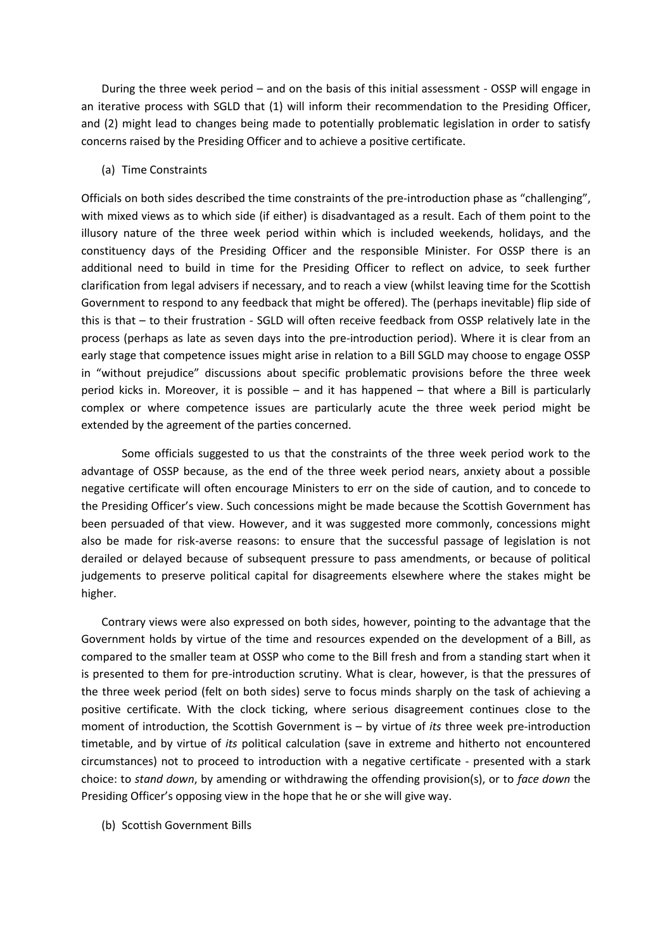During the three week period – and on the basis of this initial assessment - OSSP will engage in an iterative process with SGLD that (1) will inform their recommendation to the Presiding Officer, and (2) might lead to changes being made to potentially problematic legislation in order to satisfy concerns raised by the Presiding Officer and to achieve a positive certificate.

#### (a) Time Constraints

Officials on both sides described the time constraints of the pre-introduction phase as "challenging", with mixed views as to which side (if either) is disadvantaged as a result. Each of them point to the illusory nature of the three week period within which is included weekends, holidays, and the constituency days of the Presiding Officer and the responsible Minister. For OSSP there is an additional need to build in time for the Presiding Officer to reflect on advice, to seek further clarification from legal advisers if necessary, and to reach a view (whilst leaving time for the Scottish Government to respond to any feedback that might be offered). The (perhaps inevitable) flip side of this is that – to their frustration - SGLD will often receive feedback from OSSP relatively late in the process (perhaps as late as seven days into the pre-introduction period). Where it is clear from an early stage that competence issues might arise in relation to a Bill SGLD may choose to engage OSSP in "without prejudice" discussions about specific problematic provisions before the three week period kicks in. Moreover, it is possible – and it has happened – that where a Bill is particularly complex or where competence issues are particularly acute the three week period might be extended by the agreement of the parties concerned.

Some officials suggested to us that the constraints of the three week period work to the advantage of OSSP because, as the end of the three week period nears, anxiety about a possible negative certificate will often encourage Ministers to err on the side of caution, and to concede to the Presiding Officer's view. Such concessions might be made because the Scottish Government has been persuaded of that view. However, and it was suggested more commonly, concessions might also be made for risk-averse reasons: to ensure that the successful passage of legislation is not derailed or delayed because of subsequent pressure to pass amendments, or because of political judgements to preserve political capital for disagreements elsewhere where the stakes might be higher.

Contrary views were also expressed on both sides, however, pointing to the advantage that the Government holds by virtue of the time and resources expended on the development of a Bill, as compared to the smaller team at OSSP who come to the Bill fresh and from a standing start when it is presented to them for pre-introduction scrutiny. What is clear, however, is that the pressures of the three week period (felt on both sides) serve to focus minds sharply on the task of achieving a positive certificate. With the clock ticking, where serious disagreement continues close to the moment of introduction, the Scottish Government is – by virtue of *its* three week pre-introduction timetable, and by virtue of *its* political calculation (save in extreme and hitherto not encountered circumstances) not to proceed to introduction with a negative certificate - presented with a stark choice: to *stand down*, by amending or withdrawing the offending provision(s), or to *face down* the Presiding Officer's opposing view in the hope that he or she will give way.

(b) Scottish Government Bills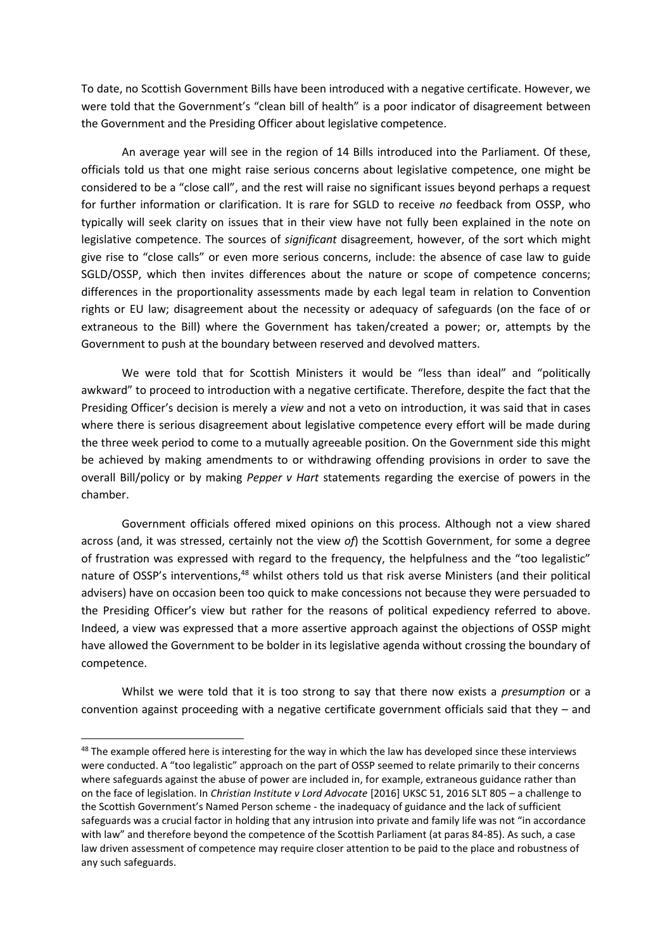To date, no Scottish Government Bills have been introduced with a negative certificate. However, we were told that the Government's "clean bill of health" is a poor indicator of disagreement between the Government and the Presiding Officer about legislative competence.

An average year will see in the region of 14 Bills introduced into the Parliament. Of these, officials told us that one might raise serious concerns about legislative competence, one might be considered to be a "close call", and the rest will raise no significant issues beyond perhaps a request for further information or clarification. It is rare for SGLD to receive *no* feedback from OSSP, who typically will seek clarity on issues that in their view have not fully been explained in the note on legislative competence. The sources of *significant* disagreement, however, of the sort which might give rise to "close calls" or even more serious concerns, include: the absence of case law to guide SGLD/OSSP, which then invites differences about the nature or scope of competence concerns; differences in the proportionality assessments made by each legal team in relation to Convention rights or EU law; disagreement about the necessity or adequacy of safeguards (on the face of or extraneous to the Bill) where the Government has taken/created a power; or, attempts by the Government to push at the boundary between reserved and devolved matters.

We were told that for Scottish Ministers it would be "less than ideal" and "politically awkward" to proceed to introduction with a negative certificate. Therefore, despite the fact that the Presiding Officer's decision is merely a *view* and not a veto on introduction, it was said that in cases where there is serious disagreement about legislative competence every effort will be made during the three week period to come to a mutually agreeable position. On the Government side this might be achieved by making amendments to or withdrawing offending provisions in order to save the overall Bill/policy or by making *Pepper v Hart* statements regarding the exercise of powers in the chamber.

Government officials offered mixed opinions on this process. Although not a view shared across (and, it was stressed, certainly not the view *of*) the Scottish Government, for some a degree of frustration was expressed with regard to the frequency, the helpfulness and the "too legalistic" nature of OSSP's interventions.<sup>48</sup> whilst others told us that risk averse Ministers (and their political advisers) have on occasion been too quick to make concessions not because they were persuaded to the Presiding Officer's view but rather for the reasons of political expediency referred to above. Indeed, a view was expressed that a more assertive approach against the objections of OSSP might have allowed the Government to be bolder in its legislative agenda without crossing the boundary of competence.

Whilst we were told that it is too strong to say that there now exists a *presumption* or a convention against proceeding with a negative certificate government officials said that they – and

1

<sup>&</sup>lt;sup>48</sup> The example offered here is interesting for the way in which the law has developed since these interviews were conducted. A "too legalistic" approach on the part of OSSP seemed to relate primarily to their concerns where safeguards against the abuse of power are included in, for example, extraneous guidance rather than on the face of legislation. In *Christian Institute v Lord Advocate* [2016] UKSC 51, 2016 SLT 805 – a challenge to the Scottish Government's Named Person scheme - the inadequacy of guidance and the lack of sufficient safeguards was a crucial factor in holding that any intrusion into private and family life was not "in accordance with law" and therefore beyond the competence of the Scottish Parliament (at paras 84-85). As such, a case law driven assessment of competence may require closer attention to be paid to the place and robustness of any such safeguards.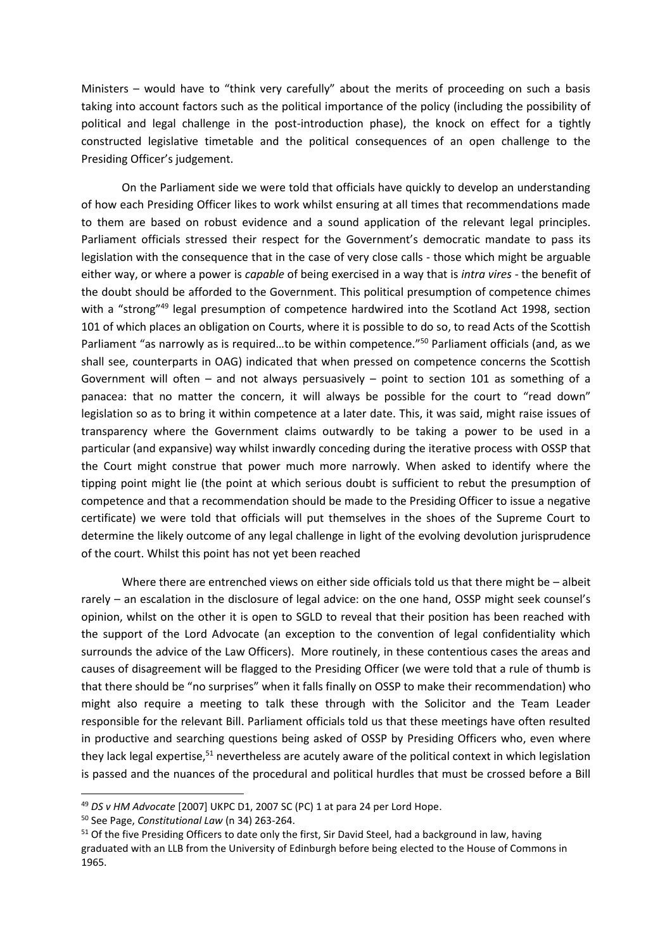Ministers – would have to "think very carefully" about the merits of proceeding on such a basis taking into account factors such as the political importance of the policy (including the possibility of political and legal challenge in the post-introduction phase), the knock on effect for a tightly constructed legislative timetable and the political consequences of an open challenge to the Presiding Officer's judgement.

On the Parliament side we were told that officials have quickly to develop an understanding of how each Presiding Officer likes to work whilst ensuring at all times that recommendations made to them are based on robust evidence and a sound application of the relevant legal principles. Parliament officials stressed their respect for the Government's democratic mandate to pass its legislation with the consequence that in the case of very close calls - those which might be arguable either way, or where a power is *capable* of being exercised in a way that is *intra vires -* the benefit of the doubt should be afforded to the Government. This political presumption of competence chimes with a "strong"<sup>49</sup> legal presumption of competence hardwired into the Scotland Act 1998, section 101 of which places an obligation on Courts, where it is possible to do so, to read Acts of the Scottish Parliament "as narrowly as is required...to be within competence."<sup>50</sup> Parliament officials (and, as we shall see, counterparts in OAG) indicated that when pressed on competence concerns the Scottish Government will often – and not always persuasively – point to section 101 as something of a panacea: that no matter the concern, it will always be possible for the court to "read down" legislation so as to bring it within competence at a later date. This, it was said, might raise issues of transparency where the Government claims outwardly to be taking a power to be used in a particular (and expansive) way whilst inwardly conceding during the iterative process with OSSP that the Court might construe that power much more narrowly. When asked to identify where the tipping point might lie (the point at which serious doubt is sufficient to rebut the presumption of competence and that a recommendation should be made to the Presiding Officer to issue a negative certificate) we were told that officials will put themselves in the shoes of the Supreme Court to determine the likely outcome of any legal challenge in light of the evolving devolution jurisprudence of the court. Whilst this point has not yet been reached

Where there are entrenched views on either side officials told us that there might be - albeit rarely – an escalation in the disclosure of legal advice: on the one hand, OSSP might seek counsel's opinion, whilst on the other it is open to SGLD to reveal that their position has been reached with the support of the Lord Advocate (an exception to the convention of legal confidentiality which surrounds the advice of the Law Officers). More routinely, in these contentious cases the areas and causes of disagreement will be flagged to the Presiding Officer (we were told that a rule of thumb is that there should be "no surprises" when it falls finally on OSSP to make their recommendation) who might also require a meeting to talk these through with the Solicitor and the Team Leader responsible for the relevant Bill. Parliament officials told us that these meetings have often resulted in productive and searching questions being asked of OSSP by Presiding Officers who, even where they lack legal expertise,<sup>51</sup> nevertheless are acutely aware of the political context in which legislation is passed and the nuances of the procedural and political hurdles that must be crossed before a Bill

 $\overline{a}$ 

<sup>49</sup> *DS v HM Advocate* [2007] UKPC D1, 2007 SC (PC) 1 at para 24 per Lord Hope.

<sup>50</sup> See Page, *Constitutional Law* (n 34) 263-264.

<sup>&</sup>lt;sup>51</sup> Of the five Presiding Officers to date only the first, Sir David Steel, had a background in law, having graduated with an LLB from the University of Edinburgh before being elected to the House of Commons in 1965.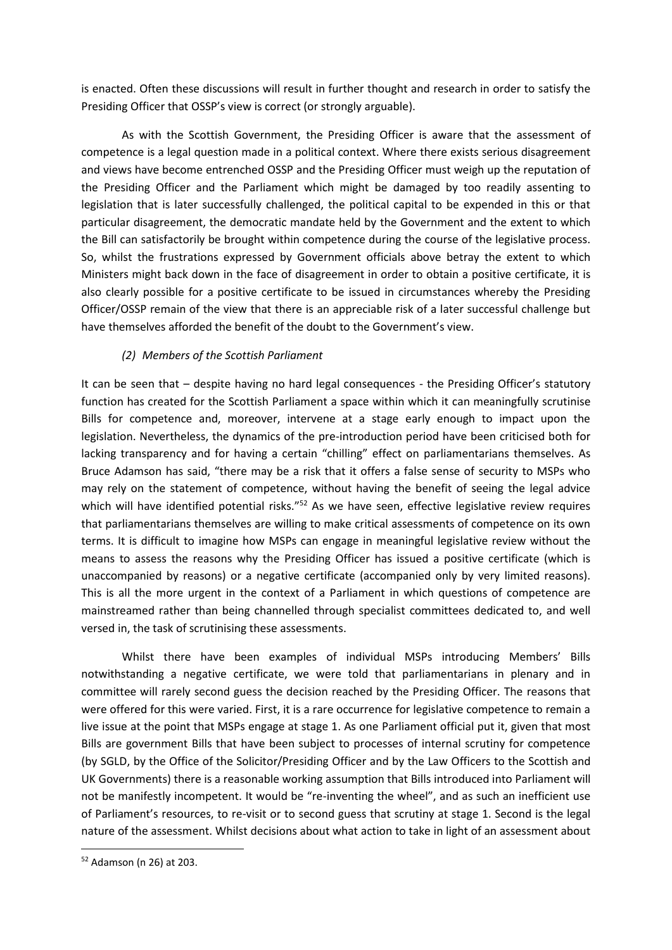is enacted. Often these discussions will result in further thought and research in order to satisfy the Presiding Officer that OSSP's view is correct (or strongly arguable).

As with the Scottish Government, the Presiding Officer is aware that the assessment of competence is a legal question made in a political context. Where there exists serious disagreement and views have become entrenched OSSP and the Presiding Officer must weigh up the reputation of the Presiding Officer and the Parliament which might be damaged by too readily assenting to legislation that is later successfully challenged, the political capital to be expended in this or that particular disagreement, the democratic mandate held by the Government and the extent to which the Bill can satisfactorily be brought within competence during the course of the legislative process. So, whilst the frustrations expressed by Government officials above betray the extent to which Ministers might back down in the face of disagreement in order to obtain a positive certificate, it is also clearly possible for a positive certificate to be issued in circumstances whereby the Presiding Officer/OSSP remain of the view that there is an appreciable risk of a later successful challenge but have themselves afforded the benefit of the doubt to the Government's view.

## *(2) Members of the Scottish Parliament*

It can be seen that – despite having no hard legal consequences - the Presiding Officer's statutory function has created for the Scottish Parliament a space within which it can meaningfully scrutinise Bills for competence and, moreover, intervene at a stage early enough to impact upon the legislation. Nevertheless, the dynamics of the pre-introduction period have been criticised both for lacking transparency and for having a certain "chilling" effect on parliamentarians themselves. As Bruce Adamson has said, "there may be a risk that it offers a false sense of security to MSPs who may rely on the statement of competence, without having the benefit of seeing the legal advice which will have identified potential risks."<sup>52</sup> As we have seen, effective legislative review requires that parliamentarians themselves are willing to make critical assessments of competence on its own terms. It is difficult to imagine how MSPs can engage in meaningful legislative review without the means to assess the reasons why the Presiding Officer has issued a positive certificate (which is unaccompanied by reasons) or a negative certificate (accompanied only by very limited reasons). This is all the more urgent in the context of a Parliament in which questions of competence are mainstreamed rather than being channelled through specialist committees dedicated to, and well versed in, the task of scrutinising these assessments.

Whilst there have been examples of individual MSPs introducing Members' Bills notwithstanding a negative certificate, we were told that parliamentarians in plenary and in committee will rarely second guess the decision reached by the Presiding Officer. The reasons that were offered for this were varied. First, it is a rare occurrence for legislative competence to remain a live issue at the point that MSPs engage at stage 1. As one Parliament official put it, given that most Bills are government Bills that have been subject to processes of internal scrutiny for competence (by SGLD, by the Office of the Solicitor/Presiding Officer and by the Law Officers to the Scottish and UK Governments) there is a reasonable working assumption that Bills introduced into Parliament will not be manifestly incompetent. It would be "re-inventing the wheel", and as such an inefficient use of Parliament's resources, to re-visit or to second guess that scrutiny at stage 1. Second is the legal nature of the assessment. Whilst decisions about what action to take in light of an assessment about

<sup>52</sup> Adamson (n 26) at 203.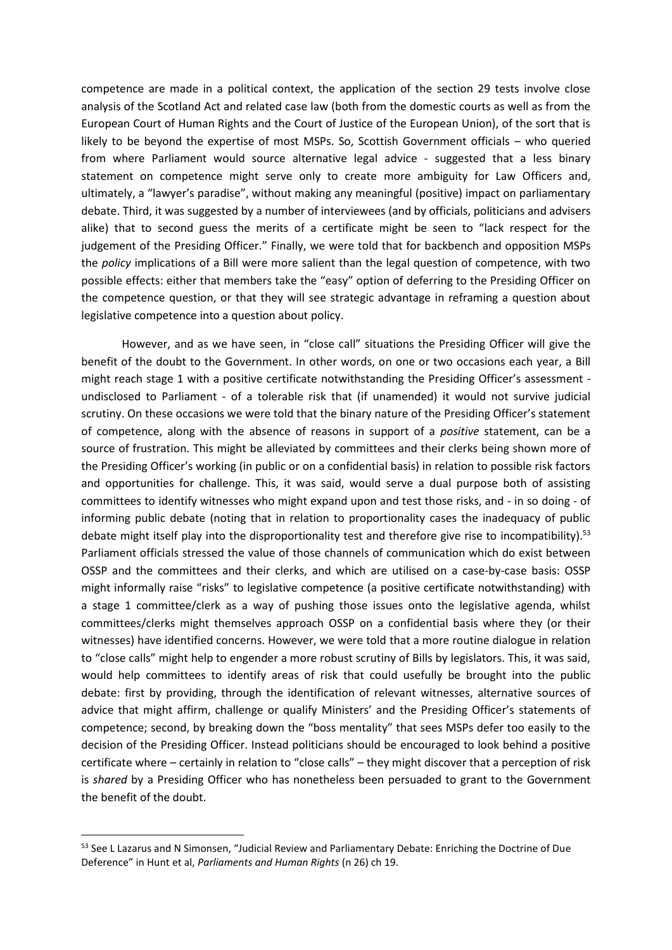competence are made in a political context, the application of the section 29 tests involve close analysis of the Scotland Act and related case law (both from the domestic courts as well as from the European Court of Human Rights and the Court of Justice of the European Union), of the sort that is likely to be beyond the expertise of most MSPs. So, Scottish Government officials – who queried from where Parliament would source alternative legal advice - suggested that a less binary statement on competence might serve only to create more ambiguity for Law Officers and, ultimately, a "lawyer's paradise", without making any meaningful (positive) impact on parliamentary debate. Third, it was suggested by a number of interviewees (and by officials, politicians and advisers alike) that to second guess the merits of a certificate might be seen to "lack respect for the judgement of the Presiding Officer." Finally, we were told that for backbench and opposition MSPs the *policy* implications of a Bill were more salient than the legal question of competence, with two possible effects: either that members take the "easy" option of deferring to the Presiding Officer on the competence question, or that they will see strategic advantage in reframing a question about legislative competence into a question about policy.

However, and as we have seen, in "close call" situations the Presiding Officer will give the benefit of the doubt to the Government. In other words, on one or two occasions each year, a Bill might reach stage 1 with a positive certificate notwithstanding the Presiding Officer's assessment undisclosed to Parliament - of a tolerable risk that (if unamended) it would not survive judicial scrutiny. On these occasions we were told that the binary nature of the Presiding Officer's statement of competence, along with the absence of reasons in support of a *positive* statement, can be a source of frustration. This might be alleviated by committees and their clerks being shown more of the Presiding Officer's working (in public or on a confidential basis) in relation to possible risk factors and opportunities for challenge. This, it was said, would serve a dual purpose both of assisting committees to identify witnesses who might expand upon and test those risks, and - in so doing - of informing public debate (noting that in relation to proportionality cases the inadequacy of public debate might itself play into the disproportionality test and therefore give rise to incompatibility).<sup>53</sup> Parliament officials stressed the value of those channels of communication which do exist between OSSP and the committees and their clerks, and which are utilised on a case-by-case basis: OSSP might informally raise "risks" to legislative competence (a positive certificate notwithstanding) with a stage 1 committee/clerk as a way of pushing those issues onto the legislative agenda, whilst committees/clerks might themselves approach OSSP on a confidential basis where they (or their witnesses) have identified concerns. However, we were told that a more routine dialogue in relation to "close calls" might help to engender a more robust scrutiny of Bills by legislators. This, it was said, would help committees to identify areas of risk that could usefully be brought into the public debate: first by providing, through the identification of relevant witnesses, alternative sources of advice that might affirm, challenge or qualify Ministers' and the Presiding Officer's statements of competence; second, by breaking down the "boss mentality" that sees MSPs defer too easily to the decision of the Presiding Officer. Instead politicians should be encouraged to look behind a positive certificate where – certainly in relation to "close calls" – they might discover that a perception of risk is *shared* by a Presiding Officer who has nonetheless been persuaded to grant to the Government the benefit of the doubt.

1

<sup>53</sup> See L Lazarus and N Simonsen, "Judicial Review and Parliamentary Debate: Enriching the Doctrine of Due Deference" in Hunt et al, *Parliaments and Human Rights* (n 26) ch 19.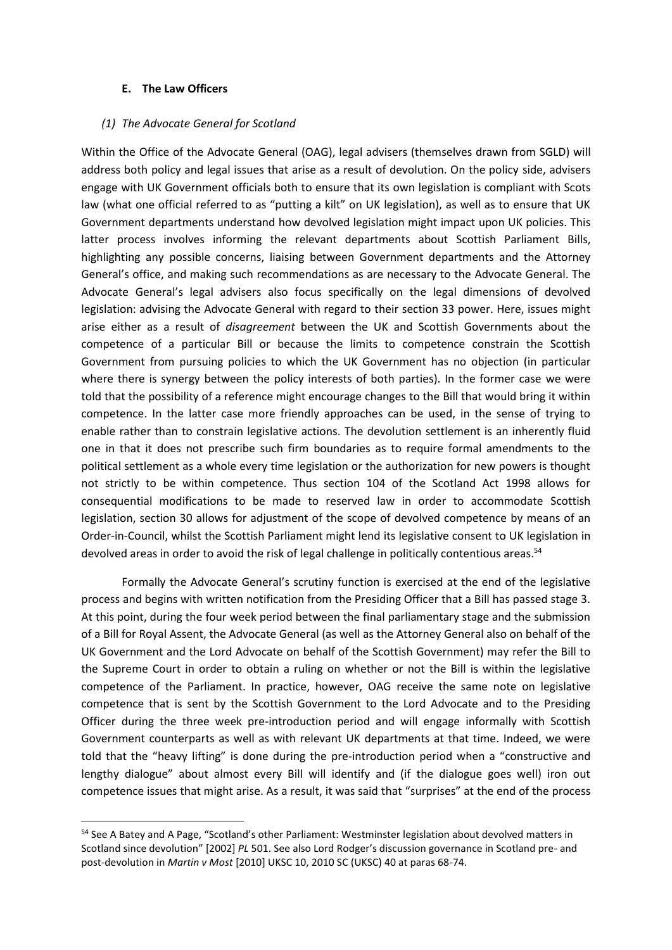#### **E. The Law Officers**

**.** 

#### *(1) The Advocate General for Scotland*

Within the Office of the Advocate General (OAG), legal advisers (themselves drawn from SGLD) will address both policy and legal issues that arise as a result of devolution. On the policy side, advisers engage with UK Government officials both to ensure that its own legislation is compliant with Scots law (what one official referred to as "putting a kilt" on UK legislation), as well as to ensure that UK Government departments understand how devolved legislation might impact upon UK policies. This latter process involves informing the relevant departments about Scottish Parliament Bills, highlighting any possible concerns, liaising between Government departments and the Attorney General's office, and making such recommendations as are necessary to the Advocate General. The Advocate General's legal advisers also focus specifically on the legal dimensions of devolved legislation: advising the Advocate General with regard to their section 33 power. Here, issues might arise either as a result of *disagreement* between the UK and Scottish Governments about the competence of a particular Bill or because the limits to competence constrain the Scottish Government from pursuing policies to which the UK Government has no objection (in particular where there is synergy between the policy interests of both parties). In the former case we were told that the possibility of a reference might encourage changes to the Bill that would bring it within competence. In the latter case more friendly approaches can be used, in the sense of trying to enable rather than to constrain legislative actions. The devolution settlement is an inherently fluid one in that it does not prescribe such firm boundaries as to require formal amendments to the political settlement as a whole every time legislation or the authorization for new powers is thought not strictly to be within competence. Thus section 104 of the Scotland Act 1998 allows for consequential modifications to be made to reserved law in order to accommodate Scottish legislation, section 30 allows for adjustment of the scope of devolved competence by means of an Order-in-Council, whilst the Scottish Parliament might lend its legislative consent to UK legislation in devolved areas in order to avoid the risk of legal challenge in politically contentious areas.<sup>54</sup>

Formally the Advocate General's scrutiny function is exercised at the end of the legislative process and begins with written notification from the Presiding Officer that a Bill has passed stage 3. At this point, during the four week period between the final parliamentary stage and the submission of a Bill for Royal Assent, the Advocate General (as well as the Attorney General also on behalf of the UK Government and the Lord Advocate on behalf of the Scottish Government) may refer the Bill to the Supreme Court in order to obtain a ruling on whether or not the Bill is within the legislative competence of the Parliament. In practice, however, OAG receive the same note on legislative competence that is sent by the Scottish Government to the Lord Advocate and to the Presiding Officer during the three week pre-introduction period and will engage informally with Scottish Government counterparts as well as with relevant UK departments at that time. Indeed, we were told that the "heavy lifting" is done during the pre-introduction period when a "constructive and lengthy dialogue" about almost every Bill will identify and (if the dialogue goes well) iron out competence issues that might arise. As a result, it was said that "surprises" at the end of the process

<sup>&</sup>lt;sup>54</sup> See A Batey and A Page, "Scotland's other Parliament: Westminster legislation about devolved matters in Scotland since devolution" [2002] *PL* 501. See also Lord Rodger's discussion governance in Scotland pre- and post-devolution in *Martin v Most* [2010] UKSC 10, 2010 SC (UKSC) 40 at paras 68-74.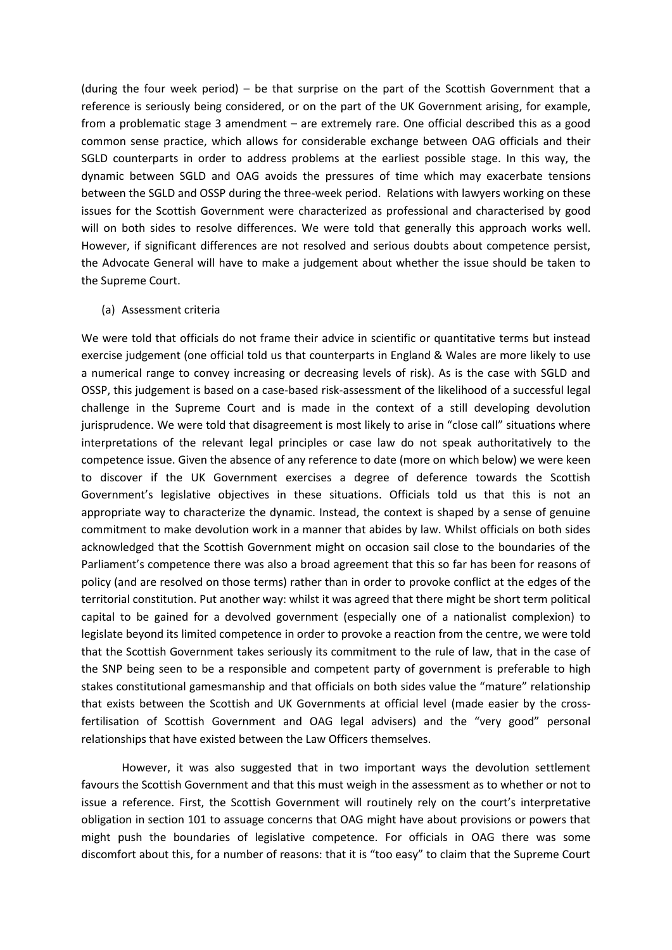(during the four week period) – be that surprise on the part of the Scottish Government that a reference is seriously being considered, or on the part of the UK Government arising, for example, from a problematic stage 3 amendment – are extremely rare. One official described this as a good common sense practice, which allows for considerable exchange between OAG officials and their SGLD counterparts in order to address problems at the earliest possible stage. In this way, the dynamic between SGLD and OAG avoids the pressures of time which may exacerbate tensions between the SGLD and OSSP during the three-week period. Relations with lawyers working on these issues for the Scottish Government were characterized as professional and characterised by good will on both sides to resolve differences. We were told that generally this approach works well. However, if significant differences are not resolved and serious doubts about competence persist, the Advocate General will have to make a judgement about whether the issue should be taken to the Supreme Court.

#### (a) Assessment criteria

We were told that officials do not frame their advice in scientific or quantitative terms but instead exercise judgement (one official told us that counterparts in England & Wales are more likely to use a numerical range to convey increasing or decreasing levels of risk). As is the case with SGLD and OSSP, this judgement is based on a case-based risk-assessment of the likelihood of a successful legal challenge in the Supreme Court and is made in the context of a still developing devolution jurisprudence. We were told that disagreement is most likely to arise in "close call" situations where interpretations of the relevant legal principles or case law do not speak authoritatively to the competence issue. Given the absence of any reference to date (more on which below) we were keen to discover if the UK Government exercises a degree of deference towards the Scottish Government's legislative objectives in these situations. Officials told us that this is not an appropriate way to characterize the dynamic. Instead, the context is shaped by a sense of genuine commitment to make devolution work in a manner that abides by law. Whilst officials on both sides acknowledged that the Scottish Government might on occasion sail close to the boundaries of the Parliament's competence there was also a broad agreement that this so far has been for reasons of policy (and are resolved on those terms) rather than in order to provoke conflict at the edges of the territorial constitution. Put another way: whilst it was agreed that there might be short term political capital to be gained for a devolved government (especially one of a nationalist complexion) to legislate beyond its limited competence in order to provoke a reaction from the centre, we were told that the Scottish Government takes seriously its commitment to the rule of law, that in the case of the SNP being seen to be a responsible and competent party of government is preferable to high stakes constitutional gamesmanship and that officials on both sides value the "mature" relationship that exists between the Scottish and UK Governments at official level (made easier by the crossfertilisation of Scottish Government and OAG legal advisers) and the "very good" personal relationships that have existed between the Law Officers themselves.

However, it was also suggested that in two important ways the devolution settlement favours the Scottish Government and that this must weigh in the assessment as to whether or not to issue a reference. First, the Scottish Government will routinely rely on the court's interpretative obligation in section 101 to assuage concerns that OAG might have about provisions or powers that might push the boundaries of legislative competence. For officials in OAG there was some discomfort about this, for a number of reasons: that it is "too easy" to claim that the Supreme Court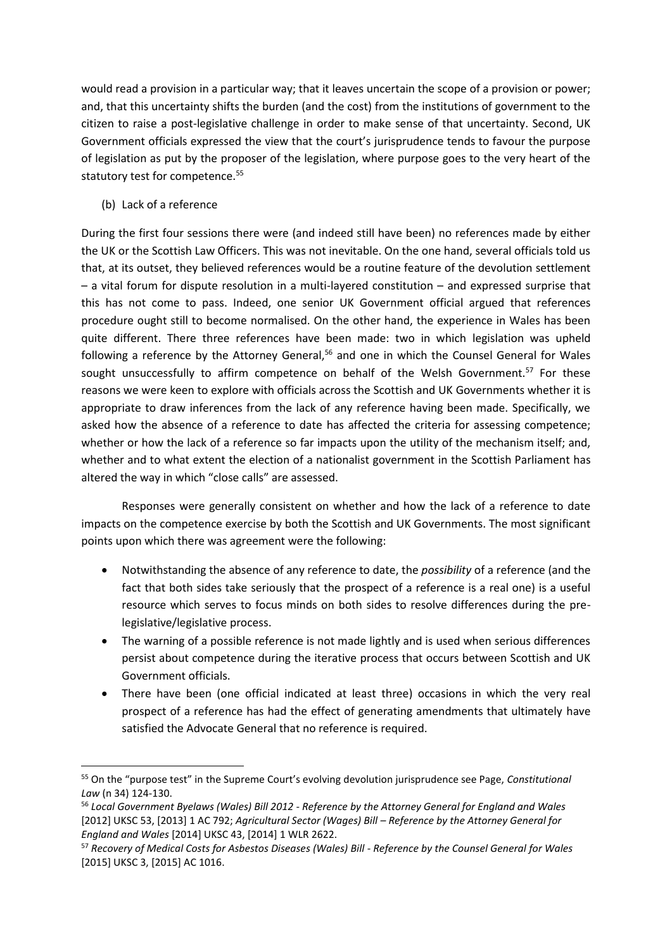would read a provision in a particular way; that it leaves uncertain the scope of a provision or power; and, that this uncertainty shifts the burden (and the cost) from the institutions of government to the citizen to raise a post-legislative challenge in order to make sense of that uncertainty. Second, UK Government officials expressed the view that the court's jurisprudence tends to favour the purpose of legislation as put by the proposer of the legislation, where purpose goes to the very heart of the statutory test for competence.<sup>55</sup>

(b) Lack of a reference

 $\overline{a}$ 

During the first four sessions there were (and indeed still have been) no references made by either the UK or the Scottish Law Officers. This was not inevitable. On the one hand, several officials told us that, at its outset, they believed references would be a routine feature of the devolution settlement – a vital forum for dispute resolution in a multi-layered constitution – and expressed surprise that this has not come to pass. Indeed, one senior UK Government official argued that references procedure ought still to become normalised. On the other hand, the experience in Wales has been quite different. There three references have been made: two in which legislation was upheld following a reference by the Attorney General,<sup>56</sup> and one in which the Counsel General for Wales sought unsuccessfully to affirm competence on behalf of the Welsh Government.<sup>57</sup> For these reasons we were keen to explore with officials across the Scottish and UK Governments whether it is appropriate to draw inferences from the lack of any reference having been made. Specifically, we asked how the absence of a reference to date has affected the criteria for assessing competence; whether or how the lack of a reference so far impacts upon the utility of the mechanism itself; and, whether and to what extent the election of a nationalist government in the Scottish Parliament has altered the way in which "close calls" are assessed.

Responses were generally consistent on whether and how the lack of a reference to date impacts on the competence exercise by both the Scottish and UK Governments. The most significant points upon which there was agreement were the following:

- Notwithstanding the absence of any reference to date, the *possibility* of a reference (and the fact that both sides take seriously that the prospect of a reference is a real one) is a useful resource which serves to focus minds on both sides to resolve differences during the prelegislative/legislative process.
- The warning of a possible reference is not made lightly and is used when serious differences persist about competence during the iterative process that occurs between Scottish and UK Government officials.
- There have been (one official indicated at least three) occasions in which the very real prospect of a reference has had the effect of generating amendments that ultimately have satisfied the Advocate General that no reference is required.

<sup>55</sup> On the "purpose test" in the Supreme Court's evolving devolution jurisprudence see Page, *Constitutional Law* (n 34) 124-130.

<sup>56</sup> *Local Government Byelaws (Wales) Bill 2012 - Reference by the Attorney General for England and Wales*  [2012] UKSC 53, [2013] 1 AC 792; *Agricultural Sector (Wages) Bill – Reference by the Attorney General for England and Wales* [2014] UKSC 43, [2014] 1 WLR 2622.

<sup>57</sup> *Recovery of Medical Costs for Asbestos Diseases (Wales) Bill - Reference by the Counsel General for Wales*  [2015] UKSC 3, [2015] AC 1016.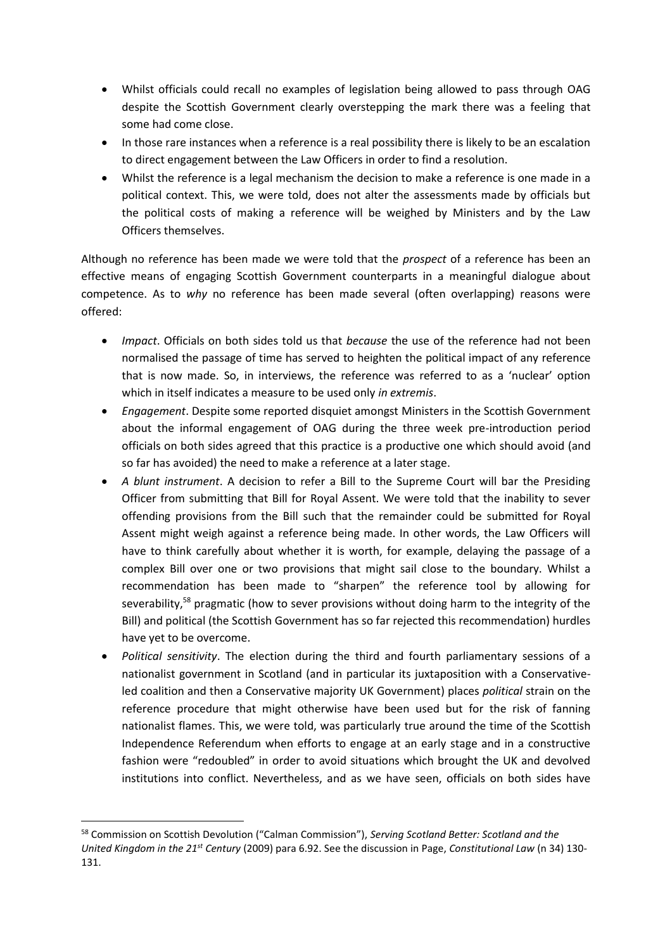- Whilst officials could recall no examples of legislation being allowed to pass through OAG despite the Scottish Government clearly overstepping the mark there was a feeling that some had come close.
- In those rare instances when a reference is a real possibility there is likely to be an escalation to direct engagement between the Law Officers in order to find a resolution.
- Whilst the reference is a legal mechanism the decision to make a reference is one made in a political context. This, we were told, does not alter the assessments made by officials but the political costs of making a reference will be weighed by Ministers and by the Law Officers themselves.

Although no reference has been made we were told that the *prospect* of a reference has been an effective means of engaging Scottish Government counterparts in a meaningful dialogue about competence. As to *why* no reference has been made several (often overlapping) reasons were offered:

- *Impact*. Officials on both sides told us that *because* the use of the reference had not been normalised the passage of time has served to heighten the political impact of any reference that is now made. So, in interviews, the reference was referred to as a 'nuclear' option which in itself indicates a measure to be used only *in extremis*.
- *Engagement*. Despite some reported disquiet amongst Ministers in the Scottish Government about the informal engagement of OAG during the three week pre-introduction period officials on both sides agreed that this practice is a productive one which should avoid (and so far has avoided) the need to make a reference at a later stage.
- *A blunt instrument*. A decision to refer a Bill to the Supreme Court will bar the Presiding Officer from submitting that Bill for Royal Assent. We were told that the inability to sever offending provisions from the Bill such that the remainder could be submitted for Royal Assent might weigh against a reference being made. In other words, the Law Officers will have to think carefully about whether it is worth, for example, delaying the passage of a complex Bill over one or two provisions that might sail close to the boundary. Whilst a recommendation has been made to "sharpen" the reference tool by allowing for severability,<sup>58</sup> pragmatic (how to sever provisions without doing harm to the integrity of the Bill) and political (the Scottish Government has so far rejected this recommendation) hurdles have yet to be overcome.
- *Political sensitivity*. The election during the third and fourth parliamentary sessions of a nationalist government in Scotland (and in particular its juxtaposition with a Conservativeled coalition and then a Conservative majority UK Government) places *political* strain on the reference procedure that might otherwise have been used but for the risk of fanning nationalist flames. This, we were told, was particularly true around the time of the Scottish Independence Referendum when efforts to engage at an early stage and in a constructive fashion were "redoubled" in order to avoid situations which brought the UK and devolved institutions into conflict. Nevertheless, and as we have seen, officials on both sides have

**<sup>.</sup>** <sup>58</sup> Commission on Scottish Devolution ("Calman Commission"), *Serving Scotland Better: Scotland and the United Kingdom in the 21st Century* (2009) para 6.92. See the discussion in Page, *Constitutional Law* (n 34) 130- 131.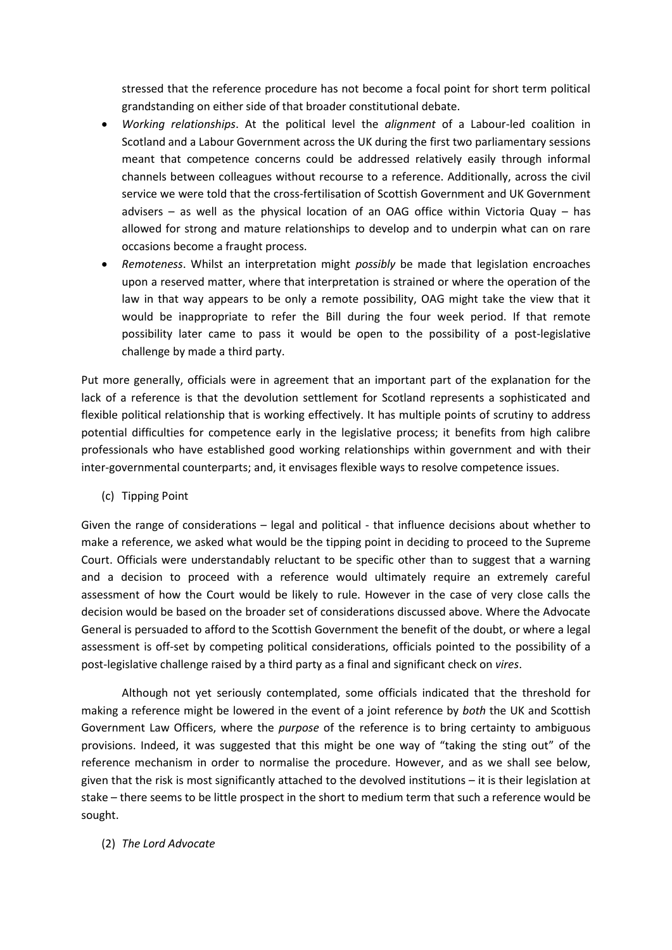stressed that the reference procedure has not become a focal point for short term political grandstanding on either side of that broader constitutional debate.

- *Working relationships*. At the political level the *alignment* of a Labour-led coalition in Scotland and a Labour Government across the UK during the first two parliamentary sessions meant that competence concerns could be addressed relatively easily through informal channels between colleagues without recourse to a reference. Additionally, across the civil service we were told that the cross-fertilisation of Scottish Government and UK Government advisers – as well as the physical location of an OAG office within Victoria Quay – has allowed for strong and mature relationships to develop and to underpin what can on rare occasions become a fraught process.
- *Remoteness*. Whilst an interpretation might *possibly* be made that legislation encroaches upon a reserved matter, where that interpretation is strained or where the operation of the law in that way appears to be only a remote possibility, OAG might take the view that it would be inappropriate to refer the Bill during the four week period. If that remote possibility later came to pass it would be open to the possibility of a post-legislative challenge by made a third party.

Put more generally, officials were in agreement that an important part of the explanation for the lack of a reference is that the devolution settlement for Scotland represents a sophisticated and flexible political relationship that is working effectively. It has multiple points of scrutiny to address potential difficulties for competence early in the legislative process; it benefits from high calibre professionals who have established good working relationships within government and with their inter-governmental counterparts; and, it envisages flexible ways to resolve competence issues.

(c) Tipping Point

Given the range of considerations – legal and political - that influence decisions about whether to make a reference, we asked what would be the tipping point in deciding to proceed to the Supreme Court. Officials were understandably reluctant to be specific other than to suggest that a warning and a decision to proceed with a reference would ultimately require an extremely careful assessment of how the Court would be likely to rule. However in the case of very close calls the decision would be based on the broader set of considerations discussed above. Where the Advocate General is persuaded to afford to the Scottish Government the benefit of the doubt, or where a legal assessment is off-set by competing political considerations, officials pointed to the possibility of a post-legislative challenge raised by a third party as a final and significant check on *vires*.

Although not yet seriously contemplated, some officials indicated that the threshold for making a reference might be lowered in the event of a joint reference by *both* the UK and Scottish Government Law Officers, where the *purpose* of the reference is to bring certainty to ambiguous provisions. Indeed, it was suggested that this might be one way of "taking the sting out" of the reference mechanism in order to normalise the procedure. However, and as we shall see below, given that the risk is most significantly attached to the devolved institutions – it is their legislation at stake – there seems to be little prospect in the short to medium term that such a reference would be sought.

# (2) *The Lord Advocate*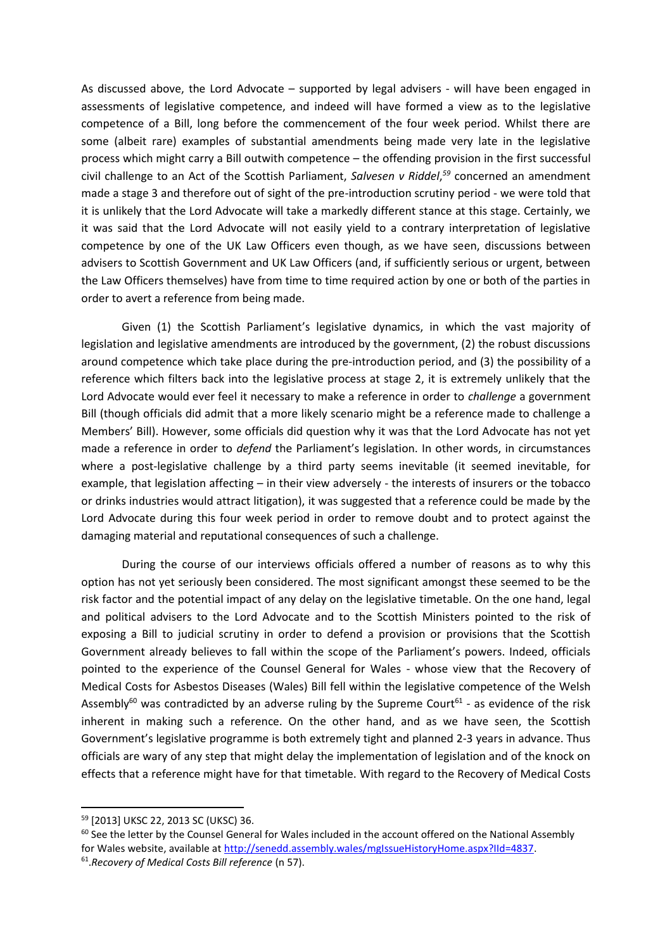As discussed above, the Lord Advocate – supported by legal advisers - will have been engaged in assessments of legislative competence, and indeed will have formed a view as to the legislative competence of a Bill, long before the commencement of the four week period. Whilst there are some (albeit rare) examples of substantial amendments being made very late in the legislative process which might carry a Bill outwith competence – the offending provision in the first successful civil challenge to an Act of the Scottish Parliament, *Salvesen v Riddel*, *<sup>59</sup>* concerned an amendment made a stage 3 and therefore out of sight of the pre-introduction scrutiny period - we were told that it is unlikely that the Lord Advocate will take a markedly different stance at this stage. Certainly, we it was said that the Lord Advocate will not easily yield to a contrary interpretation of legislative competence by one of the UK Law Officers even though, as we have seen, discussions between advisers to Scottish Government and UK Law Officers (and, if sufficiently serious or urgent, between the Law Officers themselves) have from time to time required action by one or both of the parties in order to avert a reference from being made.

Given (1) the Scottish Parliament's legislative dynamics, in which the vast majority of legislation and legislative amendments are introduced by the government, (2) the robust discussions around competence which take place during the pre-introduction period, and (3) the possibility of a reference which filters back into the legislative process at stage 2, it is extremely unlikely that the Lord Advocate would ever feel it necessary to make a reference in order to *challenge* a government Bill (though officials did admit that a more likely scenario might be a reference made to challenge a Members' Bill). However, some officials did question why it was that the Lord Advocate has not yet made a reference in order to *defend* the Parliament's legislation. In other words, in circumstances where a post-legislative challenge by a third party seems inevitable (it seemed inevitable, for example, that legislation affecting – in their view adversely - the interests of insurers or the tobacco or drinks industries would attract litigation), it was suggested that a reference could be made by the Lord Advocate during this four week period in order to remove doubt and to protect against the damaging material and reputational consequences of such a challenge.

During the course of our interviews officials offered a number of reasons as to why this option has not yet seriously been considered. The most significant amongst these seemed to be the risk factor and the potential impact of any delay on the legislative timetable. On the one hand, legal and political advisers to the Lord Advocate and to the Scottish Ministers pointed to the risk of exposing a Bill to judicial scrutiny in order to defend a provision or provisions that the Scottish Government already believes to fall within the scope of the Parliament's powers. Indeed, officials pointed to the experience of the Counsel General for Wales - whose view that the Recovery of Medical Costs for Asbestos Diseases (Wales) Bill fell within the legislative competence of the Welsh Assembly<sup>60</sup> was contradicted by an adverse ruling by the Supreme Court<sup>61</sup> - as evidence of the risk inherent in making such a reference. On the other hand, and as we have seen, the Scottish Government's legislative programme is both extremely tight and planned 2-3 years in advance. Thus officials are wary of any step that might delay the implementation of legislation and of the knock on effects that a reference might have for that timetable. With regard to the Recovery of Medical Costs

<sup>59</sup> [2013] UKSC 22, 2013 SC (UKSC) 36.

<sup>&</sup>lt;sup>60</sup> See the letter by the Counsel General for Wales included in the account offered on the National Assembly for Wales website, available a[t http://senedd.assembly.wales/mgIssueHistoryHome.aspx?IId=4837.](http://senedd.assembly.wales/mgIssueHistoryHome.aspx?IId=4837)

<sup>61</sup> .*Recovery of Medical Costs Bill reference* (n 57).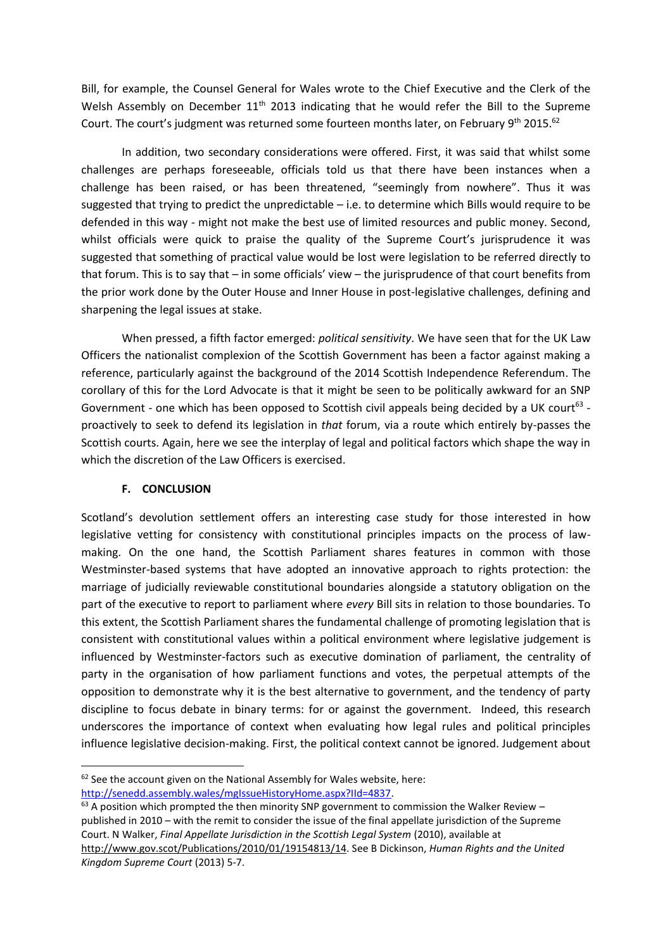Bill, for example, the Counsel General for Wales wrote to the Chief Executive and the Clerk of the Welsh Assembly on December 11<sup>th</sup> 2013 indicating that he would refer the Bill to the Supreme Court. The court's judgment was returned some fourteen months later, on February 9<sup>th</sup> 2015.<sup>62</sup>

In addition, two secondary considerations were offered. First, it was said that whilst some challenges are perhaps foreseeable, officials told us that there have been instances when a challenge has been raised, or has been threatened, "seemingly from nowhere". Thus it was suggested that trying to predict the unpredictable – i.e. to determine which Bills would require to be defended in this way - might not make the best use of limited resources and public money. Second, whilst officials were quick to praise the quality of the Supreme Court's jurisprudence it was suggested that something of practical value would be lost were legislation to be referred directly to that forum. This is to say that – in some officials' view – the jurisprudence of that court benefits from the prior work done by the Outer House and Inner House in post-legislative challenges, defining and sharpening the legal issues at stake.

When pressed, a fifth factor emerged: *political sensitivity*. We have seen that for the UK Law Officers the nationalist complexion of the Scottish Government has been a factor against making a reference, particularly against the background of the 2014 Scottish Independence Referendum. The corollary of this for the Lord Advocate is that it might be seen to be politically awkward for an SNP Government - one which has been opposed to Scottish civil appeals being decided by a UK court<sup>63</sup> proactively to seek to defend its legislation in *that* forum, via a route which entirely by-passes the Scottish courts. Again, here we see the interplay of legal and political factors which shape the way in which the discretion of the Law Officers is exercised.

#### **F. CONCLUSION**

 $\overline{a}$ 

Scotland's devolution settlement offers an interesting case study for those interested in how legislative vetting for consistency with constitutional principles impacts on the process of lawmaking. On the one hand, the Scottish Parliament shares features in common with those Westminster-based systems that have adopted an innovative approach to rights protection: the marriage of judicially reviewable constitutional boundaries alongside a statutory obligation on the part of the executive to report to parliament where *every* Bill sits in relation to those boundaries. To this extent, the Scottish Parliament shares the fundamental challenge of promoting legislation that is consistent with constitutional values within a political environment where legislative judgement is influenced by Westminster-factors such as executive domination of parliament, the centrality of party in the organisation of how parliament functions and votes, the perpetual attempts of the opposition to demonstrate why it is the best alternative to government, and the tendency of party discipline to focus debate in binary terms: for or against the government. Indeed, this research underscores the importance of context when evaluating how legal rules and political principles influence legislative decision-making. First, the political context cannot be ignored. Judgement about

 $62$  See the account given on the National Assembly for Wales website, here: [http://senedd.assembly.wales/mgIssueHistoryHome.aspx?IId=4837.](http://senedd.assembly.wales/mgIssueHistoryHome.aspx?IId=4837)

 $63$  A position which prompted the then minority SNP government to commission the Walker Review – published in 2010 – with the remit to consider the issue of the final appellate jurisdiction of the Supreme Court. N Walker, *Final Appellate Jurisdiction in the Scottish Legal System* (2010), available at [http://www.gov.scot/Publications/2010/01/19154813/14.](http://www.gov.scot/Publications/2010/01/19154813/14) See B Dickinson, *Human Rights and the United Kingdom Supreme Court* (2013) 5-7.